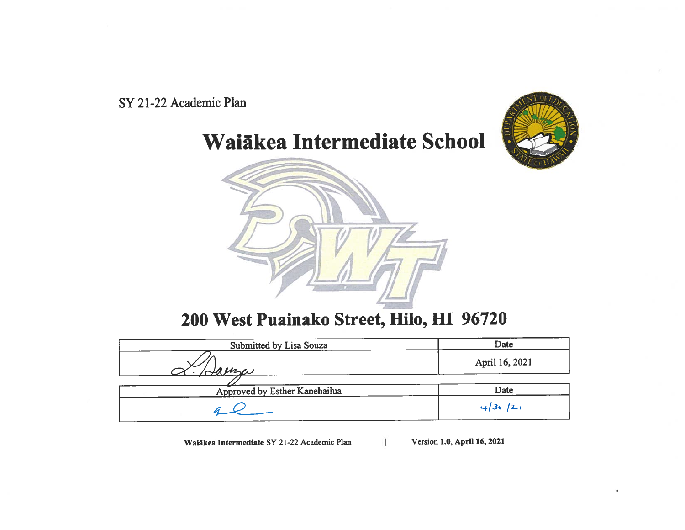

Waiākea Intermediate School



# 200 West Puainako Street, Hilo, HI 96720

| Submitted by Lisa Souza       | Date           |
|-------------------------------|----------------|
| Jaense                        | April 16, 2021 |
|                               |                |
| Approved by Esther Kanehailua | Date           |
|                               | 4/36/21        |

Waiākea Intermediate SY 21-22 Academic Plan

Version 1.0, April 16, 2021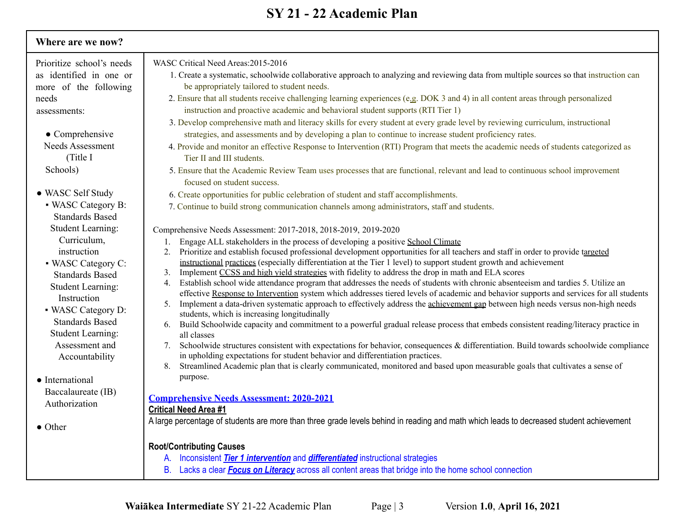| Where are we now?         |                                                                                                                                                                                                                                                   |
|---------------------------|---------------------------------------------------------------------------------------------------------------------------------------------------------------------------------------------------------------------------------------------------|
| Prioritize school's needs | WASC Critical Need Areas: 2015-2016                                                                                                                                                                                                               |
| as identified in one or   | 1. Create a systematic, schoolwide collaborative approach to analyzing and reviewing data from multiple sources so that instruction can                                                                                                           |
| more of the following     | be appropriately tailored to student needs.                                                                                                                                                                                                       |
| needs                     | 2. Ensure that all students receive challenging learning experiences (e.g. DOK 3 and 4) in all content areas through personalized                                                                                                                 |
| assessments:              | instruction and proactive academic and behavioral student supports (RTI Tier 1)                                                                                                                                                                   |
|                           | 3. Develop comprehensive math and literacy skills for every student at every grade level by reviewing curriculum, instructional                                                                                                                   |
| $\bullet$ Comprehensive   | strategies, and assessments and by developing a plan to continue to increase student proficiency rates.                                                                                                                                           |
| <b>Needs Assessment</b>   | 4. Provide and monitor an effective Response to Intervention (RTI) Program that meets the academic needs of students categorized as                                                                                                               |
| (Title I                  | Tier II and III students.                                                                                                                                                                                                                         |
| Schools)                  | 5. Ensure that the Academic Review Team uses processes that are functional, relevant and lead to continuous school improvement                                                                                                                    |
|                           | focused on student success.                                                                                                                                                                                                                       |
| • WASC Self Study         | 6. Create opportunities for public celebration of student and staff accomplishments.                                                                                                                                                              |
| • WASC Category B:        | 7. Continue to build strong communication channels among administrators, staff and students.                                                                                                                                                      |
| <b>Standards Based</b>    |                                                                                                                                                                                                                                                   |
| <b>Student Learning:</b>  | Comprehensive Needs Assessment: 2017-2018, 2018-2019, 2019-2020                                                                                                                                                                                   |
| Curriculum,               | Engage ALL stakeholders in the process of developing a positive School Climate                                                                                                                                                                    |
| instruction               | Prioritize and establish focused professional development opportunities for all teachers and staff in order to provide targeted<br>2.                                                                                                             |
| • WASC Category C:        | instructional practices (especially differentiation at the Tier 1 level) to support student growth and achievement                                                                                                                                |
| <b>Standards Based</b>    | Implement CCSS and high yield strategies with fidelity to address the drop in math and ELA scores<br>3.<br>Establish school wide attendance program that addresses the needs of students with chronic absenteeism and tardies 5. Utilize an<br>4. |
| <b>Student Learning:</b>  | effective Response to Intervention system which addresses tiered levels of academic and behavior supports and services for all students                                                                                                           |
| Instruction               | Implement a data-driven systematic approach to effectively address the achievement gap between high needs versus non-high needs<br>5 <sub>1</sub>                                                                                                 |
| • WASC Category D:        | students, which is increasing longitudinally                                                                                                                                                                                                      |
| <b>Standards Based</b>    | Build Schoolwide capacity and commitment to a powerful gradual release process that embeds consistent reading/literacy practice in<br>6.                                                                                                          |
| <b>Student Learning:</b>  | all classes                                                                                                                                                                                                                                       |
| Assessment and            | 7. Schoolwide structures consistent with expectations for behavior, consequences & differentiation. Build towards schoolwide compliance<br>in upholding expectations for student behavior and differentiation practices.                          |
| Accountability            | Streamlined Academic plan that is clearly communicated, monitored and based upon measurable goals that cultivates a sense of<br>8.                                                                                                                |
| • International           | purpose.                                                                                                                                                                                                                                          |
| Baccalaureate (IB)        |                                                                                                                                                                                                                                                   |
| Authorization             | <b>Comprehensive Needs Assessment: 2020-2021</b>                                                                                                                                                                                                  |
|                           | <b>Critical Need Area #1</b>                                                                                                                                                                                                                      |
| $\bullet$ Other           | A large percentage of students are more than three grade levels behind in reading and math which leads to decreased student achievement                                                                                                           |
|                           | <b>Root/Contributing Causes</b>                                                                                                                                                                                                                   |
|                           | A. Inconsistent <b>Tier 1 intervention</b> and <b>differentiated</b> instructional strategies                                                                                                                                                     |
|                           | B. Lacks a clear <b>Focus on Literacy</b> across all content areas that bridge into the home school connection                                                                                                                                    |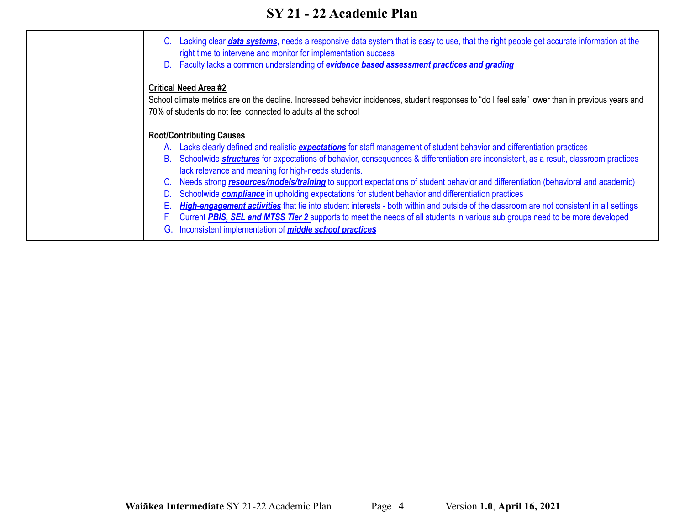| Lacking clear <i>data systems</i> , needs a responsive data system that is easy to use, that the right people get accurate information at the<br>C.<br>right time to intervene and monitor for implementation success<br>D. Faculty lacks a common understanding of <i>evidence based assessment practices and grading</i> |
|----------------------------------------------------------------------------------------------------------------------------------------------------------------------------------------------------------------------------------------------------------------------------------------------------------------------------|
| <b>Critical Need Area #2</b><br>School climate metrics are on the decline. Increased behavior incidences, student responses to "do I feel safe" lower than in previous years and<br>70% of students do not feel connected to adults at the school                                                                          |
| <b>Root/Contributing Causes</b>                                                                                                                                                                                                                                                                                            |
| A. Lacks clearly defined and realistic <i>expectations</i> for staff management of student behavior and differentiation practices                                                                                                                                                                                          |
| B. Schoolwide <b>structures</b> for expectations of behavior, consequences & differentiation are inconsistent, as a result, classroom practices                                                                                                                                                                            |
| lack relevance and meaning for high-needs students.                                                                                                                                                                                                                                                                        |
| Needs strong resources/models/training to support expectations of student behavior and differentiation (behavioral and academic)<br>$\mathbf{C}$ .                                                                                                                                                                         |
| Schoolwide <b>compliance</b> in upholding expectations for student behavior and differentiation practices<br>D.                                                                                                                                                                                                            |
| High-engagement activities that tie into student interests - both within and outside of the classroom are not consistent in all settings<br>Е.                                                                                                                                                                             |
| Current PBIS, SEL and MTSS Tier 2 supports to meet the needs of all students in various sub groups need to be more developed                                                                                                                                                                                               |
| Inconsistent implementation of <i>middle school practices</i>                                                                                                                                                                                                                                                              |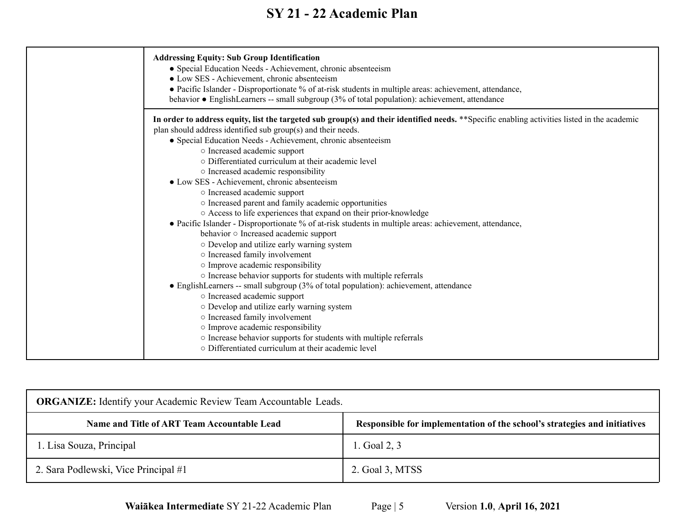| <b>Addressing Equity: Sub Group Identification</b><br>• Special Education Needs - Achievement, chronic absenteeism<br>• Low SES - Achievement, chronic absenteeism<br>• Pacific Islander - Disproportionate % of at-risk students in multiple areas: achievement, attendance,<br>behavior • EnglishLearners -- small subgroup (3% of total population): achievement, attendance                                                                                                                                                                                                                                                                                                                                                                                                                                                                                                                                                                                                                                                                                                                                                                                                                                                                                                                                                                 |
|-------------------------------------------------------------------------------------------------------------------------------------------------------------------------------------------------------------------------------------------------------------------------------------------------------------------------------------------------------------------------------------------------------------------------------------------------------------------------------------------------------------------------------------------------------------------------------------------------------------------------------------------------------------------------------------------------------------------------------------------------------------------------------------------------------------------------------------------------------------------------------------------------------------------------------------------------------------------------------------------------------------------------------------------------------------------------------------------------------------------------------------------------------------------------------------------------------------------------------------------------------------------------------------------------------------------------------------------------|
| In order to address equity, list the targeted sub group(s) and their identified needs. **Specific enabling activities listed in the academic<br>plan should address identified sub group(s) and their needs.<br>· Special Education Needs - Achievement, chronic absenteeism<br>o Increased academic support<br>o Differentiated curriculum at their academic level<br>o Increased academic responsibility<br>• Low SES - Achievement, chronic absenteeism<br>o Increased academic support<br>o Increased parent and family academic opportunities<br>○ Access to life experiences that expand on their prior-knowledge<br>• Pacific Islander - Disproportionate % of at-risk students in multiple areas: achievement, attendance,<br>behavior o Increased academic support<br>o Develop and utilize early warning system<br>o Increased family involvement<br>o Improve academic responsibility<br>o Increase behavior supports for students with multiple referrals<br>• EnglishLearners -- small subgroup (3% of total population): achievement, attendance<br>o Increased academic support<br>o Develop and utilize early warning system<br>o Increased family involvement<br>o Improve academic responsibility<br>o Increase behavior supports for students with multiple referrals<br>○ Differentiated curriculum at their academic level |

| <b>ORGANIZE:</b> Identify your Academic Review Team Accountable Leads. |                                                                           |  |  |  |  |
|------------------------------------------------------------------------|---------------------------------------------------------------------------|--|--|--|--|
| Name and Title of ART Team Accountable Lead                            | Responsible for implementation of the school's strategies and initiatives |  |  |  |  |
| l. Lisa Souza, Principal                                               | 1. Goal 2, 3                                                              |  |  |  |  |
| 2. Sara Podlewski, Vice Principal #1                                   | 2. Goal 3, MTSS                                                           |  |  |  |  |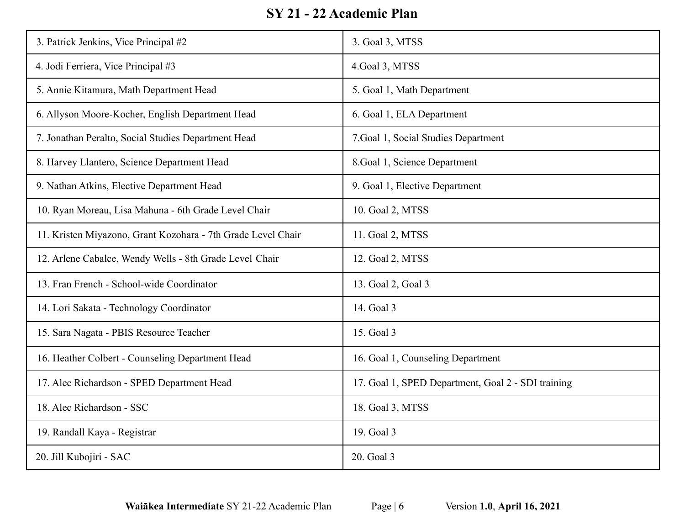| 3. Patrick Jenkins, Vice Principal #2                        | 3. Goal 3, MTSS                                    |
|--------------------------------------------------------------|----------------------------------------------------|
| 4. Jodi Ferriera, Vice Principal #3                          | 4. Goal 3, MTSS                                    |
| 5. Annie Kitamura, Math Department Head                      | 5. Goal 1, Math Department                         |
| 6. Allyson Moore-Kocher, English Department Head             | 6. Goal 1, ELA Department                          |
| 7. Jonathan Peralto, Social Studies Department Head          | 7. Goal 1, Social Studies Department               |
| 8. Harvey Llantero, Science Department Head                  | 8. Goal 1, Science Department                      |
| 9. Nathan Atkins, Elective Department Head                   | 9. Goal 1, Elective Department                     |
| 10. Ryan Moreau, Lisa Mahuna - 6th Grade Level Chair         | 10. Goal 2, MTSS                                   |
| 11. Kristen Miyazono, Grant Kozohara - 7th Grade Level Chair | 11. Goal 2, MTSS                                   |
| 12. Arlene Cabalce, Wendy Wells - 8th Grade Level Chair      | 12. Goal 2, MTSS                                   |
| 13. Fran French - School-wide Coordinator                    | 13. Goal 2, Goal 3                                 |
| 14. Lori Sakata - Technology Coordinator                     | 14. Goal 3                                         |
| 15. Sara Nagata - PBIS Resource Teacher                      | 15. Goal 3                                         |
| 16. Heather Colbert - Counseling Department Head             | 16. Goal 1, Counseling Department                  |
| 17. Alec Richardson - SPED Department Head                   | 17. Goal 1, SPED Department, Goal 2 - SDI training |
| 18. Alec Richardson - SSC                                    | 18. Goal 3, MTSS                                   |
| 19. Randall Kaya - Registrar                                 | 19. Goal 3                                         |
| 20. Jill Kubojiri - SAC                                      | 20. Goal 3                                         |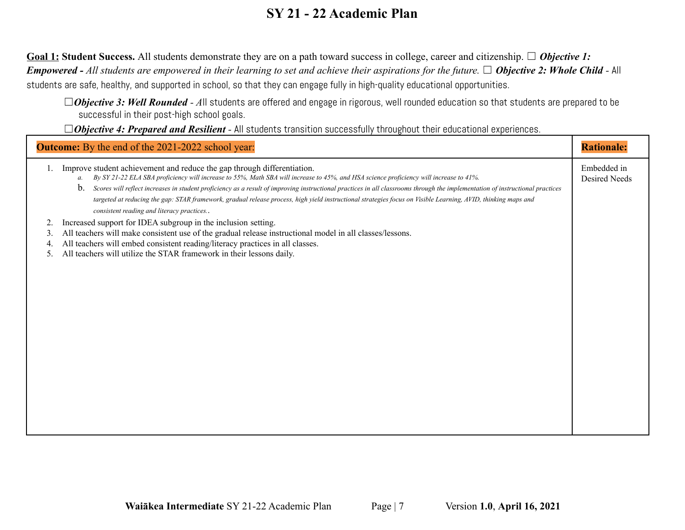Goal 1: Student Success. All students demonstrate they are on a path toward success in college, career and citizenship. □ *Objective 1: Empowered - All students are empowered in their learning to set and achieve their aspirations for the future.* ☐ *Objective 2: Whole Child -* All students are safe, healthy, and supported in school, so that they can engage fully in high-quality educational opportunities.

□Objective 3: Well Rounded - All students are offered and engage in rigorous, well rounded education so that students are prepared to be successful in their post-high school goals.

□Objective 4: Prepared and Resilient - All students transition successfully throughout their educational experiences.

|                      | <b>Outcome:</b> By the end of the 2021-2022 school year:                                                                                                                                                                                                                                                                                                                                                                                                                                                                                                                                                                              | <b>Rationale:</b>                   |
|----------------------|---------------------------------------------------------------------------------------------------------------------------------------------------------------------------------------------------------------------------------------------------------------------------------------------------------------------------------------------------------------------------------------------------------------------------------------------------------------------------------------------------------------------------------------------------------------------------------------------------------------------------------------|-------------------------------------|
|                      | Improve student achievement and reduce the gap through differentiation.<br>a. By SY 21-22 ELA SBA proficiency will increase to 55%, Math SBA will increase to 45%, and HSA science proficiency will increase to 41%.<br>$\mathbf{b}$ .<br>Scores will reflect increases in student proficiency as a result of improving instructional practices in all classrooms through the implementation of instructional practices<br>targeted at reducing the gap: STAR framework, gradual release process, high yield instructional strategies focus on Visible Learning, AVID, thinking maps and<br>consistent reading and literacy practices | Embedded in<br><b>Desired Needs</b> |
| 2.<br>3.<br>4.<br>5. | Increased support for IDEA subgroup in the inclusion setting.<br>All teachers will make consistent use of the gradual release instructional model in all classes/lessons.<br>All teachers will embed consistent reading/literacy practices in all classes.<br>All teachers will utilize the STAR framework in their lessons daily.                                                                                                                                                                                                                                                                                                    |                                     |
|                      |                                                                                                                                                                                                                                                                                                                                                                                                                                                                                                                                                                                                                                       |                                     |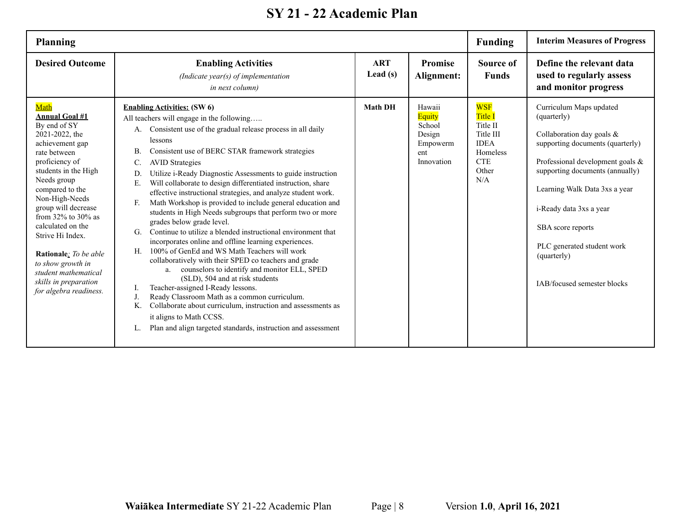| <b>Planning</b>                                                                                                                                                                                                                                                                                                                                                                                                       |                                                                                                                                                                                                                                                                                                                                                                                                                                                                                                                                                                                                                                                                                                                                                                                                                                                                                                                                                                                                                                                                                                                                                                                                                                              |                          |                                                                              | <b>Funding</b>                                                                                                 | <b>Interim Measures of Progress</b>                                                                                                                                                                                                                                                                                                         |
|-----------------------------------------------------------------------------------------------------------------------------------------------------------------------------------------------------------------------------------------------------------------------------------------------------------------------------------------------------------------------------------------------------------------------|----------------------------------------------------------------------------------------------------------------------------------------------------------------------------------------------------------------------------------------------------------------------------------------------------------------------------------------------------------------------------------------------------------------------------------------------------------------------------------------------------------------------------------------------------------------------------------------------------------------------------------------------------------------------------------------------------------------------------------------------------------------------------------------------------------------------------------------------------------------------------------------------------------------------------------------------------------------------------------------------------------------------------------------------------------------------------------------------------------------------------------------------------------------------------------------------------------------------------------------------|--------------------------|------------------------------------------------------------------------------|----------------------------------------------------------------------------------------------------------------|---------------------------------------------------------------------------------------------------------------------------------------------------------------------------------------------------------------------------------------------------------------------------------------------------------------------------------------------|
| <b>Desired Outcome</b>                                                                                                                                                                                                                                                                                                                                                                                                | <b>Enabling Activities</b><br>(Indicate year(s) of implementation<br><i>in next column)</i>                                                                                                                                                                                                                                                                                                                                                                                                                                                                                                                                                                                                                                                                                                                                                                                                                                                                                                                                                                                                                                                                                                                                                  | <b>ART</b><br>Lead $(s)$ | <b>Promise</b><br>Alignment:                                                 | Source of<br><b>Funds</b>                                                                                      | Define the relevant data<br>used to regularly assess<br>and monitor progress                                                                                                                                                                                                                                                                |
| Math<br><b>Annual Goal #1</b><br>By end of SY<br>2021-2022, the<br>achievement gap<br>rate between<br>proficiency of<br>students in the High<br>Needs group<br>compared to the<br>Non-High-Needs<br>group will decrease<br>from $32\%$ to $30\%$ as<br>calculated on the<br>Strive Hi Index.<br>Rationale: To be able<br>to show growth in<br>student mathematical<br>skills in preparation<br>for algebra readiness. | <b>Enabling Activities: (SW 6)</b><br>All teachers will engage in the following<br>Consistent use of the gradual release process in all daily<br>A.<br>lessons<br>Consistent use of BERC STAR framework strategies<br>В.<br>C.<br><b>AVID Strategies</b><br>Utilize i-Ready Diagnostic Assessments to guide instruction<br>D.<br>Will collaborate to design differentiated instruction, share<br>Е.<br>effective instructional strategies, and analyze student work.<br>Math Workshop is provided to include general education and<br>F.<br>students in High Needs subgroups that perform two or more<br>grades below grade level.<br>Continue to utilize a blended instructional environment that<br>G.<br>incorporates online and offline learning experiences.<br>100% of GenEd and WS Math Teachers will work<br>H.<br>collaboratively with their SPED co teachers and grade<br>counselors to identify and monitor ELL, SPED<br>a.<br>(SLD), 504 and at risk students<br>Teacher-assigned I-Ready lessons.<br>1.<br>Ready Classroom Math as a common curriculum.<br>J.<br>K.<br>Collaborate about curriculum, instruction and assessments as<br>it aligns to Math CCSS.<br>Plan and align targeted standards, instruction and assessment | <b>Math DH</b>           | Hawaii<br><b>Equity</b><br>School<br>Design<br>Empowerm<br>ent<br>Innovation | <b>WSF</b><br><b>Title I</b><br>Title II<br>Title III<br><b>IDEA</b><br>Homeless<br><b>CTE</b><br>Other<br>N/A | Curriculum Maps updated<br>(quarterly)<br>Collaboration day goals &<br>supporting documents (quarterly)<br>Professional development goals &<br>supporting documents (annually)<br>Learning Walk Data 3xs a year<br>i-Ready data 3xs a year<br>SBA score reports<br>PLC generated student work<br>(quarterly)<br>IAB/focused semester blocks |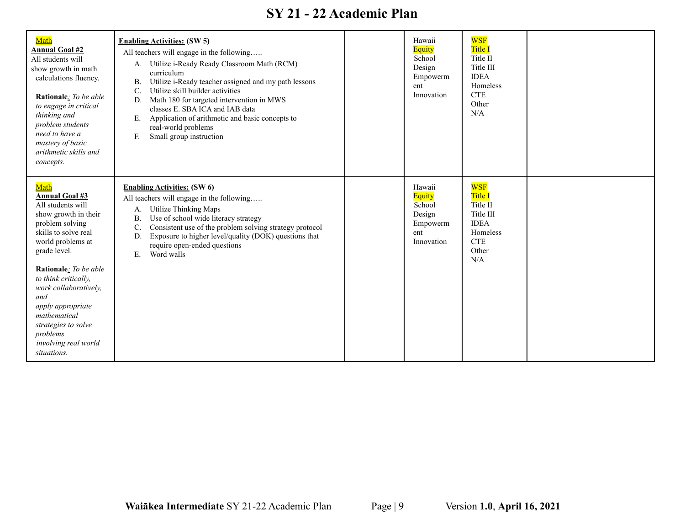| Math<br><b>Annual Goal #2</b><br>All students will<br>show growth in math<br>calculations fluency.<br>Rationale: To be able<br>to engage in critical<br>thinking and<br>problem students<br>need to have a<br>mastery of basic<br>arithmetic skills and<br>concepts.                                                                                       | <b>Enabling Activities: (SW 5)</b><br>All teachers will engage in the following<br>A. Utilize i-Ready Ready Classroom Math (RCM)<br>curriculum<br>Utilize i-Ready teacher assigned and my path lessons<br>В.<br>Utilize skill builder activities<br>C.<br>Math 180 for targeted intervention in MWS<br>D.<br>classes E. SBA ICA and IAB data<br>Application of arithmetic and basic concepts to<br>Е.<br>real-world problems<br>Small group instruction<br>F. | Hawaii<br>Equity<br>School<br>Design<br>Empowerm<br>ent<br>Innovation | <b>WSF</b><br><b>Title I</b><br>Title II<br>Title III<br><b>IDEA</b><br>Homeless<br><b>CTE</b><br>Other<br>N/A |  |
|------------------------------------------------------------------------------------------------------------------------------------------------------------------------------------------------------------------------------------------------------------------------------------------------------------------------------------------------------------|---------------------------------------------------------------------------------------------------------------------------------------------------------------------------------------------------------------------------------------------------------------------------------------------------------------------------------------------------------------------------------------------------------------------------------------------------------------|-----------------------------------------------------------------------|----------------------------------------------------------------------------------------------------------------|--|
| Math<br><b>Annual Goal #3</b><br>All students will<br>show growth in their<br>problem solving<br>skills to solve real<br>world problems at<br>grade level.<br>Rationale: To be able<br>to think critically,<br>work collaboratively,<br>and<br>apply appropriate<br>mathematical<br>strategies to solve<br>problems<br>involving real world<br>situations. | <b>Enabling Activities:</b> (SW 6)<br>All teachers will engage in the following<br><b>Utilize Thinking Maps</b><br>A.<br>Use of school wide literacy strategy<br><b>B</b> .<br>Consistent use of the problem solving strategy protocol<br>C.<br>Exposure to higher level/quality (DOK) questions that<br>D.<br>require open-ended questions<br>Word walls<br>E.                                                                                               | Hawaii<br>Equity<br>School<br>Design<br>Empowerm<br>ent<br>Innovation | <b>WSF</b><br><b>Title I</b><br>Title II<br>Title III<br><b>IDEA</b><br>Homeless<br><b>CTE</b><br>Other<br>N/A |  |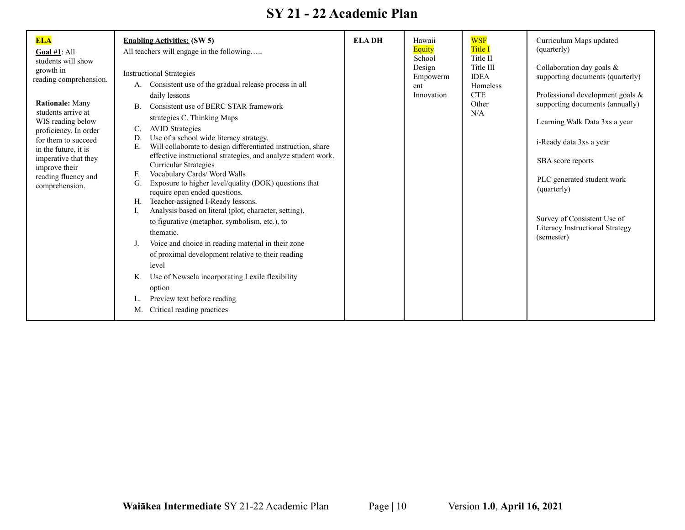| <b>ELA</b><br>Goal $#1$ : All<br>students will show<br>growth in<br>reading comprehension.<br><b>Rationale: Many</b><br>students arrive at<br>WIS reading below<br>proficiency. In order<br>for them to succeed<br>in the future, it is<br>imperative that they<br>improve their<br>reading fluency and<br>comprehension. | <b>Enabling Activities: (SW 5)</b><br>All teachers will engage in the following<br><b>Instructional Strategies</b><br>Consistent use of the gradual release process in all<br>А.<br>daily lessons<br>Consistent use of BERC STAR framework<br>B.<br>strategies C. Thinking Maps<br><b>AVID Strategies</b><br>C.<br>Use of a school wide literacy strategy.<br>D.<br>Will collaborate to design differentiated instruction, share<br>Е.<br>effective instructional strategies, and analyze student work.<br><b>Curricular Strategies</b><br>F.<br>Vocabulary Cards/Word Walls<br>Exposure to higher level/quality (DOK) questions that<br>G.<br>require open ended questions.<br>Teacher-assigned I-Ready lessons.<br>Н.<br>Analysis based on literal (plot, character, setting),<br>to figurative (metaphor, symbolism, etc.), to<br>thematic.<br>Voice and choice in reading material in their zone<br>J.<br>of proximal development relative to their reading<br>level<br>Use of Newsela incorporating Lexile flexibility<br>Κ.<br>option<br>Preview text before reading<br>L.<br>Critical reading practices<br>M. | <b>ELADH</b> | Hawaii<br><b>Equity</b><br>School<br>Design<br>Empowerm<br>ent<br>Innovation | <b>WSF</b><br><b>Title I</b><br>Title II<br>Title III<br><b>IDEA</b><br>Homeless<br><b>CTE</b><br>Other<br>N/A | Curriculum Maps updated<br>(quarterly)<br>Collaboration day goals &<br>supporting documents (quarterly)<br>Professional development goals &<br>supporting documents (annually)<br>Learning Walk Data 3xs a year<br>i-Ready data 3xs a year<br>SBA score reports<br>PLC generated student work<br>(quarterly)<br>Survey of Consistent Use of<br>Literacy Instructional Strategy<br>(semester) |
|---------------------------------------------------------------------------------------------------------------------------------------------------------------------------------------------------------------------------------------------------------------------------------------------------------------------------|----------------------------------------------------------------------------------------------------------------------------------------------------------------------------------------------------------------------------------------------------------------------------------------------------------------------------------------------------------------------------------------------------------------------------------------------------------------------------------------------------------------------------------------------------------------------------------------------------------------------------------------------------------------------------------------------------------------------------------------------------------------------------------------------------------------------------------------------------------------------------------------------------------------------------------------------------------------------------------------------------------------------------------------------------------------------------------------------------------------------|--------------|------------------------------------------------------------------------------|----------------------------------------------------------------------------------------------------------------|----------------------------------------------------------------------------------------------------------------------------------------------------------------------------------------------------------------------------------------------------------------------------------------------------------------------------------------------------------------------------------------------|
|---------------------------------------------------------------------------------------------------------------------------------------------------------------------------------------------------------------------------------------------------------------------------------------------------------------------------|----------------------------------------------------------------------------------------------------------------------------------------------------------------------------------------------------------------------------------------------------------------------------------------------------------------------------------------------------------------------------------------------------------------------------------------------------------------------------------------------------------------------------------------------------------------------------------------------------------------------------------------------------------------------------------------------------------------------------------------------------------------------------------------------------------------------------------------------------------------------------------------------------------------------------------------------------------------------------------------------------------------------------------------------------------------------------------------------------------------------|--------------|------------------------------------------------------------------------------|----------------------------------------------------------------------------------------------------------------|----------------------------------------------------------------------------------------------------------------------------------------------------------------------------------------------------------------------------------------------------------------------------------------------------------------------------------------------------------------------------------------------|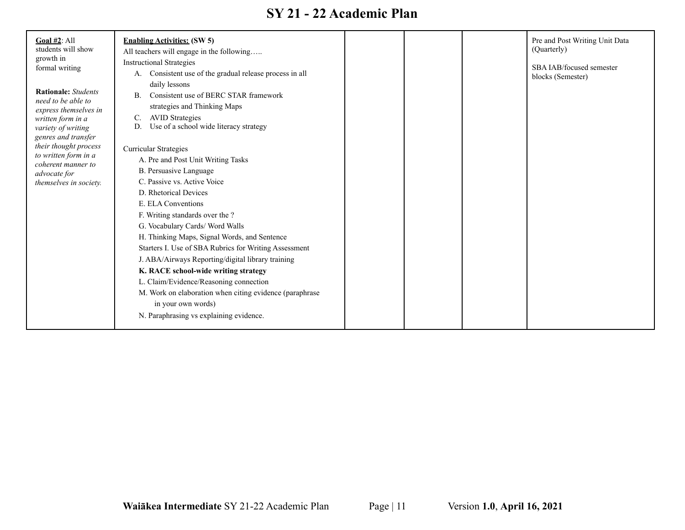| Goal $#2$ : All<br>students will show<br>growth in<br>formal writing<br><b>Rationale:</b> Students<br>need to be able to<br>express themselves in<br>written form in a<br>variety of writing<br>genres and transfer<br>their thought process<br>to written form in a<br>coherent manner to<br>advocate for<br>themselves in society. | <b>Enabling Activities: (SW 5)</b><br>All teachers will engage in the following<br><b>Instructional Strategies</b><br>Consistent use of the gradual release process in all<br>А.<br>daily lessons<br>Consistent use of BERC STAR framework<br>В.<br>strategies and Thinking Maps<br><b>AVID</b> Strategies<br>C.<br>Use of a school wide literacy strategy<br>D.<br>Curricular Strategies<br>A. Pre and Post Unit Writing Tasks<br>B. Persuasive Language<br>C. Passive vs. Active Voice<br>D. Rhetorical Devices<br>E. ELA Conventions<br>F. Writing standards over the ?<br>G. Vocabulary Cards/ Word Walls<br>H. Thinking Maps, Signal Words, and Sentence<br>Starters I. Use of SBA Rubrics for Writing Assessment<br>J. ABA/Airways Reporting/digital library training<br>K. RACE school-wide writing strategy<br>L. Claim/Evidence/Reasoning connection<br>M. Work on elaboration when citing evidence (paraphrase<br>in your own words)<br>N. Paraphrasing vs explaining evidence. |  |  |  | Pre and Post Writing Unit Data<br>(Quarterly)<br>SBA IAB/focused semester<br>blocks (Semester) |
|--------------------------------------------------------------------------------------------------------------------------------------------------------------------------------------------------------------------------------------------------------------------------------------------------------------------------------------|-------------------------------------------------------------------------------------------------------------------------------------------------------------------------------------------------------------------------------------------------------------------------------------------------------------------------------------------------------------------------------------------------------------------------------------------------------------------------------------------------------------------------------------------------------------------------------------------------------------------------------------------------------------------------------------------------------------------------------------------------------------------------------------------------------------------------------------------------------------------------------------------------------------------------------------------------------------------------------------------|--|--|--|------------------------------------------------------------------------------------------------|
|--------------------------------------------------------------------------------------------------------------------------------------------------------------------------------------------------------------------------------------------------------------------------------------------------------------------------------------|-------------------------------------------------------------------------------------------------------------------------------------------------------------------------------------------------------------------------------------------------------------------------------------------------------------------------------------------------------------------------------------------------------------------------------------------------------------------------------------------------------------------------------------------------------------------------------------------------------------------------------------------------------------------------------------------------------------------------------------------------------------------------------------------------------------------------------------------------------------------------------------------------------------------------------------------------------------------------------------------|--|--|--|------------------------------------------------------------------------------------------------|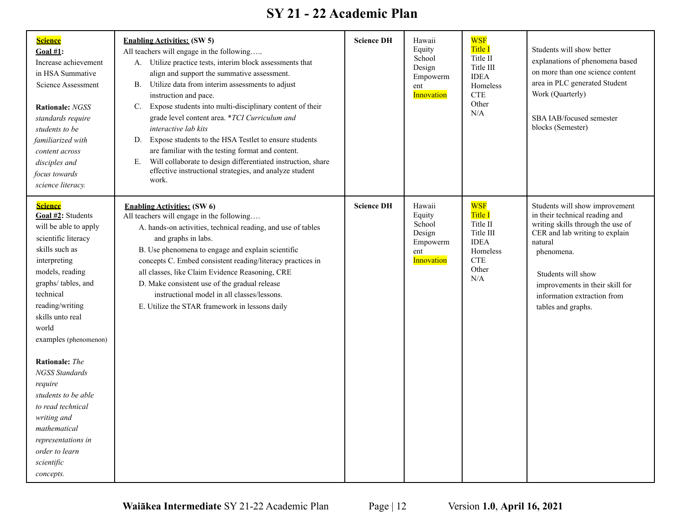| <b>Science</b><br>Goal $#1$ :<br>Increase achievement<br>in HSA Summative<br>Science Assessment<br><b>Rationale: NGSS</b><br>standards require<br>students to be<br>familiarized with<br>content across<br>disciples and<br>focus towards<br>science literacy.                                  | <b>Enabling Activities: (SW 5)</b><br>All teachers will engage in the following<br>A. Utilize practice tests, interim block assessments that<br>align and support the summative assessment.<br>Utilize data from interim assessments to adjust<br>В.<br>instruction and pace.<br>Expose students into multi-disciplinary content of their<br>C.<br>grade level content area. *TCI Curriculum and<br>interactive lab kits<br>Expose students to the HSA Testlet to ensure students<br>D.<br>are familiar with the testing format and content.<br>Will collaborate to design differentiated instruction, share<br>Е.<br>effective instructional strategies, and analyze student<br>work. | <b>Science DH</b> | Hawaii<br>Equity<br>School<br>Design<br>Empowerm<br>ent<br><b>Innovation</b> | <b>WSF</b><br><b>Title I</b><br>Title II<br>Title III<br><b>IDEA</b><br>Homeless<br><b>CTE</b><br>Other<br>N/A | Students will show better<br>explanations of phenomena based<br>on more than one science content<br>area in PLC generated Student<br>Work (Quarterly)<br>SBA IAB/focused semester<br>blocks (Semester)                                                                         |
|-------------------------------------------------------------------------------------------------------------------------------------------------------------------------------------------------------------------------------------------------------------------------------------------------|----------------------------------------------------------------------------------------------------------------------------------------------------------------------------------------------------------------------------------------------------------------------------------------------------------------------------------------------------------------------------------------------------------------------------------------------------------------------------------------------------------------------------------------------------------------------------------------------------------------------------------------------------------------------------------------|-------------------|------------------------------------------------------------------------------|----------------------------------------------------------------------------------------------------------------|--------------------------------------------------------------------------------------------------------------------------------------------------------------------------------------------------------------------------------------------------------------------------------|
| <b>Science</b><br>Goal #2: Students<br>will be able to apply<br>scientific literacy<br>skills such as<br>interpreting<br>models, reading<br>graphs/tables, and<br>technical<br>reading/writing<br>skills unto real<br>world<br>examples (phenomenon)<br><b>Rationale:</b> The<br>NGSS Standards | <b>Enabling Activities: (SW 6)</b><br>All teachers will engage in the following<br>A. hands-on activities, technical reading, and use of tables<br>and graphs in labs.<br>B. Use phenomena to engage and explain scientific<br>concepts C. Embed consistent reading/literacy practices in<br>all classes, like Claim Evidence Reasoning, CRE<br>D. Make consistent use of the gradual release<br>instructional model in all classes/lessons.<br>E. Utilize the STAR framework in lessons daily                                                                                                                                                                                         | <b>Science DH</b> | Hawaii<br>Equity<br>School<br>Design<br>Empowerm<br>ent<br><b>Innovation</b> | <b>WSF</b><br>Title I<br>Title II<br>Title III<br><b>IDEA</b><br>Homeless<br><b>CTE</b><br>Other<br>N/A        | Students will show improvement<br>in their technical reading and<br>writing skills through the use of<br>CER and lab writing to explain<br>natural<br>phenomena.<br>Students will show<br>improvements in their skill for<br>information extraction from<br>tables and graphs. |
| require<br>students to be able<br>to read technical<br>writing and<br>mathematical<br>representations in<br>order to learn<br>scientific<br>concepts.                                                                                                                                           |                                                                                                                                                                                                                                                                                                                                                                                                                                                                                                                                                                                                                                                                                        |                   |                                                                              |                                                                                                                |                                                                                                                                                                                                                                                                                |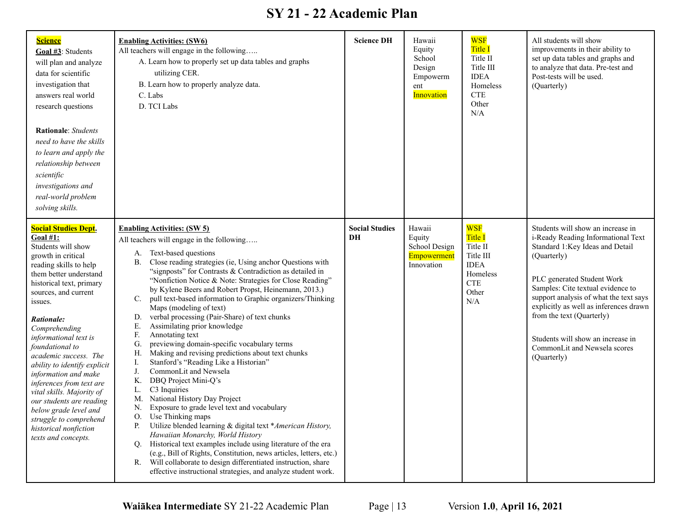| <b>Science</b><br>Goal #3: Students<br>will plan and analyze<br>data for scientific<br>investigation that<br>answers real world<br>research questions<br><b>Rationale:</b> Students<br>need to have the skills<br>to learn and apply the<br>relationship between<br>scientific<br>investigations and<br>real-world problem<br>solving skills.                                                                                                                                                                                                                     | <b>Enabling Activities: (SW6)</b><br>All teachers will engage in the following<br>A. Learn how to properly set up data tables and graphs<br>utilizing CER.<br>B. Learn how to properly analyze data.<br>C. Labs<br>D. TCI Labs                                                                                                                                                                                                                                                                                                                                                                                                                                                                                                                                                                                                                                                                                                                                                                                                                                                                                                                                                                                                                                                                                                                                        | <b>Science DH</b>           | Hawaii<br>Equity<br>School<br>Design<br>Empowerm<br>ent<br>Innovation | <b>WSF</b><br><b>Title I</b><br>Title II<br>Title III<br><b>IDEA</b><br>Homeless<br><b>CTE</b><br>Other<br>N/A | All students will show<br>improvements in their ability to<br>set up data tables and graphs and<br>to analyze that data. Pre-test and<br>Post-tests will be used.<br>(Quarterly)                                                                                                                                                                                                                  |
|-------------------------------------------------------------------------------------------------------------------------------------------------------------------------------------------------------------------------------------------------------------------------------------------------------------------------------------------------------------------------------------------------------------------------------------------------------------------------------------------------------------------------------------------------------------------|-----------------------------------------------------------------------------------------------------------------------------------------------------------------------------------------------------------------------------------------------------------------------------------------------------------------------------------------------------------------------------------------------------------------------------------------------------------------------------------------------------------------------------------------------------------------------------------------------------------------------------------------------------------------------------------------------------------------------------------------------------------------------------------------------------------------------------------------------------------------------------------------------------------------------------------------------------------------------------------------------------------------------------------------------------------------------------------------------------------------------------------------------------------------------------------------------------------------------------------------------------------------------------------------------------------------------------------------------------------------------|-----------------------------|-----------------------------------------------------------------------|----------------------------------------------------------------------------------------------------------------|---------------------------------------------------------------------------------------------------------------------------------------------------------------------------------------------------------------------------------------------------------------------------------------------------------------------------------------------------------------------------------------------------|
| <b>Social Studies Dept.</b><br><b>Goal #1:</b><br>Students will show<br>growth in critical<br>reading skills to help<br>them better understand<br>historical text, primary<br>sources, and current<br>issues.<br>Rationale:<br>Comprehending<br>informational text is<br>foundational to<br>academic success. The<br>ability to identify explicit<br>information and make<br>inferences from text are<br>vital skills. Majority of<br>our students are reading<br>below grade level and<br>struggle to comprehend<br>historical nonfiction<br>texts and concepts. | <b>Enabling Activities: (SW 5)</b><br>All teachers will engage in the following<br>A. Text-based questions<br>Close reading strategies (ie, Using anchor Questions with<br><b>B.</b><br>"signposts" for Contrasts & Contradiction as detailed in<br>"Nonfiction Notice & Note: Strategies for Close Reading"<br>by Kylene Beers and Robert Propst, Heinemann, 2013.)<br>pull text-based information to Graphic organizers/Thinking<br>$C_{\cdot}$<br>Maps (modeling of text)<br>verbal processing (Pair-Share) of text chunks<br>D.<br>Assimilating prior knowledge<br>Е.<br>Annotating text<br>F.<br>previewing domain-specific vocabulary terms<br>G.<br>Making and revising predictions about text chunks<br>Н.<br>Stanford's "Reading Like a Historian"<br>I.<br>CommonLit and Newsela<br>J.<br>DBQ Project Mini-Q's<br>Κ.<br>C3 Inquiries<br>L.<br>National History Day Project<br>M.<br>Exposure to grade level text and vocabulary<br>N.<br>Use Thinking maps<br>O.<br>Utilize blended learning & digital text *American History,<br>P.<br>Hawaiian Monarchy, World History<br>Historical text examples include using literature of the era<br>O.<br>(e.g., Bill of Rights, Constitution, news articles, letters, etc.)<br>Will collaborate to design differentiated instruction, share<br>R.<br>effective instructional strategies, and analyze student work. | <b>Social Studies</b><br>DH | Hawaii<br>Equity<br>School Design<br>Empowerment<br>Innovation        | <b>WSF</b><br>Title I<br>Title II<br>Title III<br><b>IDEA</b><br>Homeless<br><b>CTE</b><br>Other<br>N/A        | Students will show an increase in<br>i-Ready Reading Informational Text<br>Standard 1:Key Ideas and Detail<br>(Quarterly)<br>PLC generated Student Work<br>Samples: Cite textual evidence to<br>support analysis of what the text says<br>explicitly as well as inferences drawn<br>from the text (Quarterly)<br>Students will show an increase in<br>CommonLit and Newsela scores<br>(Quarterly) |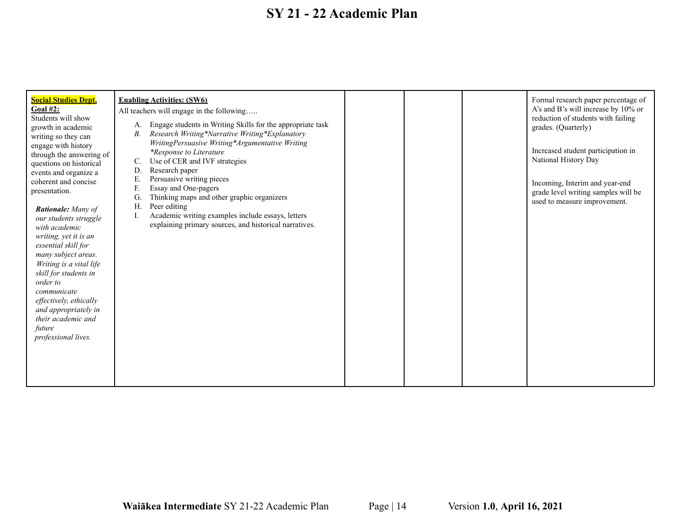| <b>Social Studies Dept.</b><br><b>Goal #2:</b><br>Students will show<br>growth in academic<br>writing so they can<br>engage with history<br>through the answering of<br>questions on historical<br>events and organize a                                                                                                                                                    | <b>Enabling Activities: (SW6)</b><br>All teachers will engage in the following<br>Engage students in Writing Skills for the appropriate task<br>A.<br>Research Writing*Narrative Writing*Explanatory<br>В.<br>WritingPersuasive Writing*Argumentative Writing<br><i>*Response to Literature</i><br>Use of CER and IVF strategies<br>C.<br>Research paper<br>D. |  | Formal research paper percentage of<br>A's and B's will increase by 10% or<br>reduction of students with failing<br>grades. (Quarterly)<br>Increased student participation in<br>National History Day |
|-----------------------------------------------------------------------------------------------------------------------------------------------------------------------------------------------------------------------------------------------------------------------------------------------------------------------------------------------------------------------------|----------------------------------------------------------------------------------------------------------------------------------------------------------------------------------------------------------------------------------------------------------------------------------------------------------------------------------------------------------------|--|-------------------------------------------------------------------------------------------------------------------------------------------------------------------------------------------------------|
| coherent and concise<br>presentation.<br><b>Rationale:</b> Many of<br>our students struggle<br>with academic<br>writing, yet it is an<br>essential skill for<br>many subject areas.<br>Writing is a vital life<br>skill for students in<br>order to<br>communicate<br>effectively, ethically<br>and appropriately in<br>their academic and<br>future<br>professional lives. | Persuasive writing pieces<br>Е.<br>F.<br>Essay and One-pagers<br>Thinking maps and other graphic organizers<br>G.<br>Peer editing<br>H.<br>Academic writing examples include essays, letters<br>I.<br>explaining primary sources, and historical narratives.                                                                                                   |  | Incoming, Interim and year-end<br>grade level writing samples will be<br>used to measure improvement.                                                                                                 |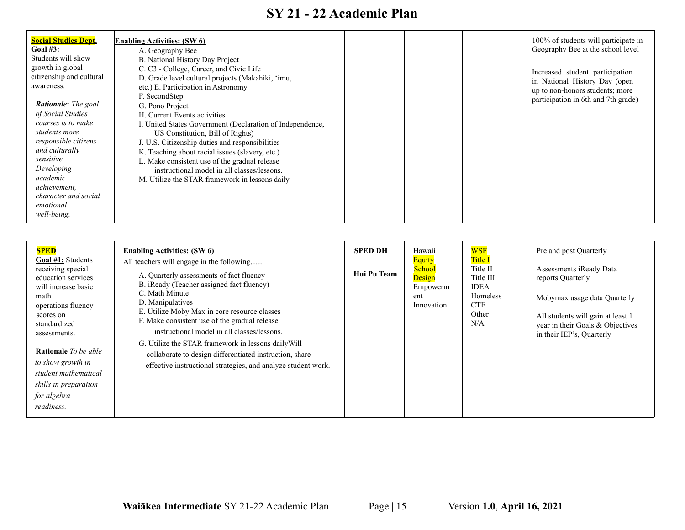| <b>Social Studies Dept.</b><br>Goal $#3:$<br>Students will show<br>growth in global<br>citizenship and cultural<br>awareness.<br><b>Rationale:</b> The goal<br>of Social Studies<br>courses is to make<br>students more | <b>Enabling Activities: (SW 6)</b><br>A. Geography Bee<br>B. National History Day Project<br>C. C3 - College, Career, and Civic Life<br>D. Grade level cultural projects (Makahiki, 'imu,<br>etc.) E. Participation in Astronomy<br>F. SecondStep<br>G. Pono Project<br>H. Current Events activities<br>I. United States Government (Declaration of Independence,<br>US Constitution, Bill of Rights) |  | 100% of students will participate in<br>Geography Bee at the school level<br>Increased student participation<br>in National History Day (open<br>up to non-honors students; more<br>participation in 6th and 7th grade) |
|-------------------------------------------------------------------------------------------------------------------------------------------------------------------------------------------------------------------------|-------------------------------------------------------------------------------------------------------------------------------------------------------------------------------------------------------------------------------------------------------------------------------------------------------------------------------------------------------------------------------------------------------|--|-------------------------------------------------------------------------------------------------------------------------------------------------------------------------------------------------------------------------|
| responsible citizens<br>and culturally<br>sensitive.<br>Developing<br>academic<br>achievement,<br>character and social<br>emotional<br>well-being.                                                                      | J. U.S. Citizenship duties and responsibilities<br>K. Teaching about racial issues (slavery, etc.)<br>L. Make consistent use of the gradual release<br>instructional model in all classes/lessons.<br>M. Utilize the STAR framework in lessons daily                                                                                                                                                  |  |                                                                                                                                                                                                                         |

| <b>SPED</b>                                                                                                                                                                                                                                                                                             | <b>Enabling Activities: (SW 6)</b>                                                                                                                                                                                                                                                                                                                                                                                                                                                                          | <b>SPED DH</b> | Hawaii                                                             | <b>WSF</b>                                                                                       | Pre and post Quarterly                                                                                                                                                             |
|---------------------------------------------------------------------------------------------------------------------------------------------------------------------------------------------------------------------------------------------------------------------------------------------------------|-------------------------------------------------------------------------------------------------------------------------------------------------------------------------------------------------------------------------------------------------------------------------------------------------------------------------------------------------------------------------------------------------------------------------------------------------------------------------------------------------------------|----------------|--------------------------------------------------------------------|--------------------------------------------------------------------------------------------------|------------------------------------------------------------------------------------------------------------------------------------------------------------------------------------|
| <b>Goal #1:</b> Students<br>receiving special<br>education services<br>will increase basic<br>math<br>operations fluency<br>scores on<br>standardized<br>assessments.<br><b>Rationale</b> To be able<br>to show growth in<br>student mathematical<br>skills in preparation<br>for algebra<br>readiness. | All teachers will engage in the following<br>A. Quarterly assessments of fact fluency<br>B. iReady (Teacher assigned fact fluency)<br>C. Math Minute<br>D. Manipulatives<br>E. Utilize Moby Max in core resource classes<br>F. Make consistent use of the gradual release<br>instructional model in all classes/lessons.<br>G. Utilize the STAR framework in lessons daily Will<br>collaborate to design differentiated instruction, share<br>effective instructional strategies, and analyze student work. | Hui Pu Team    | <b>Equity</b><br>School<br>Design<br>Empowerm<br>ent<br>Innovation | <b>Title I</b><br>Title II<br>Title III<br><b>IDEA</b><br>Homeless<br><b>CTE</b><br>Other<br>N/A | Assessments iReady Data<br>reports Quarterly<br>Mobymax usage data Quarterly<br>All students will gain at least 1<br>year in their Goals & Objectives<br>in their IEP's, Quarterly |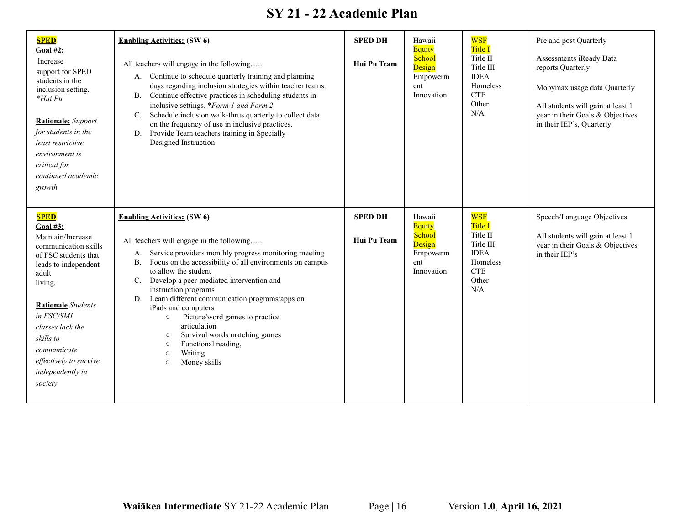| <b>SPED</b><br>Goal #2:<br>Increase<br>support for SPED<br>students in the<br>inclusion setting.<br>*Hui Pu<br><b>Rationale:</b> Support<br>for students in the<br>least restrictive<br>environment is<br>critical for<br>continued academic<br>growth.                                             | <b>Enabling Activities: (SW 6)</b><br>All teachers will engage in the following<br>A. Continue to schedule quarterly training and planning<br>days regarding inclusion strategies within teacher teams.<br>Continue effective practices in scheduling students in<br><b>B.</b><br>inclusive settings. *Form 1 and Form 2<br>Schedule inclusion walk-thrus quarterly to collect data<br>C.<br>on the frequency of use in inclusive practices.<br>Provide Team teachers training in Specially<br>D.<br>Designed Instruction                                                                            | <b>SPED DH</b><br>Hui Pu Team | Hawaii<br>Equity<br>School<br>Design<br>Empowerm<br>ent<br>Innovation        | <b>WSF</b><br><b>Title I</b><br>Title II<br>Title III<br><b>IDEA</b><br>Homeless<br><b>CTE</b><br>Other<br>N/A | Pre and post Quarterly<br>Assessments iReady Data<br>reports Quarterly<br>Mobymax usage data Quarterly<br>All students will gain at least 1<br>year in their Goals & Objectives<br>in their IEP's, Quarterly |
|-----------------------------------------------------------------------------------------------------------------------------------------------------------------------------------------------------------------------------------------------------------------------------------------------------|------------------------------------------------------------------------------------------------------------------------------------------------------------------------------------------------------------------------------------------------------------------------------------------------------------------------------------------------------------------------------------------------------------------------------------------------------------------------------------------------------------------------------------------------------------------------------------------------------|-------------------------------|------------------------------------------------------------------------------|----------------------------------------------------------------------------------------------------------------|--------------------------------------------------------------------------------------------------------------------------------------------------------------------------------------------------------------|
| <b>SPED</b><br><b>Goal #3:</b><br>Maintain/Increase<br>communication skills<br>of FSC students that<br>leads to independent<br>adult<br>living.<br><b>Rationale</b> Students<br>in FSC/SMI<br>classes lack the<br>skills to<br>communicate<br>effectively to survive<br>independently in<br>society | <b>Enabling Activities:</b> (SW 6)<br>All teachers will engage in the following<br>Service providers monthly progress monitoring meeting<br>A.<br>Focus on the accessibility of all environments on campus<br><b>B.</b><br>to allow the student<br>Develop a peer-mediated intervention and<br>C.<br>instruction programs<br>Learn different communication programs/apps on<br>D.<br>iPads and computers<br>Picture/word games to practice<br>$\circ$<br>articulation<br>Survival words matching games<br>$\circ$<br>Functional reading,<br>$\circ$<br>Writing<br>$\circ$<br>Money skills<br>$\circ$ | <b>SPED DH</b><br>Hui Pu Team | Hawaii<br><b>Equity</b><br>School<br>Design<br>Empowerm<br>ent<br>Innovation | <b>WSF</b><br><b>Title I</b><br>Title II<br>Title III<br><b>IDEA</b><br>Homeless<br><b>CTE</b><br>Other<br>N/A | Speech/Language Objectives<br>All students will gain at least 1<br>year in their Goals & Objectives<br>in their IEP's                                                                                        |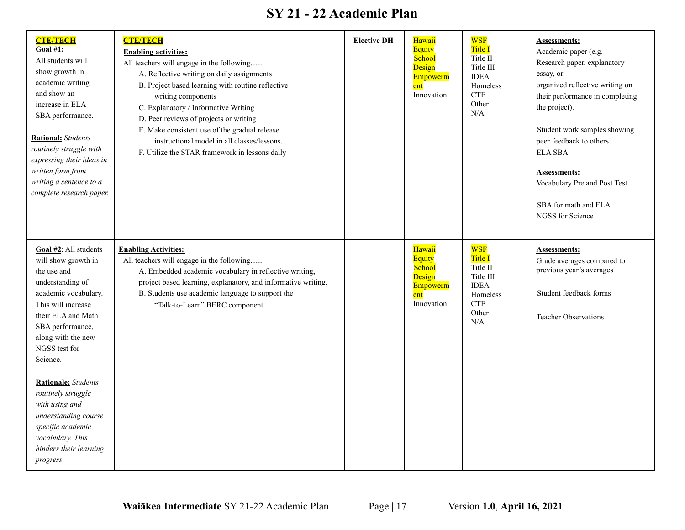| <b>CTE/TECH</b><br><b>Goal #1:</b><br>All students will<br>show growth in<br>academic writing<br>and show an<br>increase in ELA<br>SBA performance.<br><b>Rational:</b> Students<br>routinely struggle with<br>expressing their ideas in<br>written form from<br>writing a sentence to a<br>complete research paper.                                                                                     | <b>CTE/TECH</b><br><b>Enabling activities:</b><br>All teachers will engage in the following<br>A. Reflective writing on daily assignments<br>B. Project based learning with routine reflective<br>writing components<br>C. Explanatory / Informative Writing<br>D. Peer reviews of projects or writing<br>E. Make consistent use of the gradual release<br>instructional model in all classes/lessons.<br>F. Utilize the STAR framework in lessons daily | <b>Elective DH</b> | Hawaii<br><b>Equity</b><br>School<br>Design<br>Empowerm<br>ent<br>Innovation | <b>WSF</b><br>Title I<br>Title II<br>Title III<br><b>IDEA</b><br>Homeless<br><b>CTE</b><br>Other<br>N/A        | <b>Assessments:</b><br>Academic paper (e.g.<br>Research paper, explanatory<br>essay, or<br>organized reflective writing on<br>their performance in completing<br>the project).<br>Student work samples showing<br>peer feedback to others<br><b>ELA SBA</b><br><b>Assessments:</b><br>Vocabulary Pre and Post Test<br>SBA for math and ELA<br>NGSS for Science |
|----------------------------------------------------------------------------------------------------------------------------------------------------------------------------------------------------------------------------------------------------------------------------------------------------------------------------------------------------------------------------------------------------------|----------------------------------------------------------------------------------------------------------------------------------------------------------------------------------------------------------------------------------------------------------------------------------------------------------------------------------------------------------------------------------------------------------------------------------------------------------|--------------------|------------------------------------------------------------------------------|----------------------------------------------------------------------------------------------------------------|----------------------------------------------------------------------------------------------------------------------------------------------------------------------------------------------------------------------------------------------------------------------------------------------------------------------------------------------------------------|
| Goal #2: All students<br>will show growth in<br>the use and<br>understanding of<br>academic vocabulary.<br>This will increase<br>their ELA and Math<br>SBA performance,<br>along with the new<br>NGSS test for<br>Science.<br><b>Rationale:</b> Students<br>routinely struggle<br>with using and<br>understanding course<br>specific academic<br>vocabulary. This<br>hinders their learning<br>progress. | <b>Enabling Activities:</b><br>All teachers will engage in the following<br>A. Embedded academic vocabulary in reflective writing,<br>project based learning, explanatory, and informative writing.<br>B. Students use academic language to support the<br>"Talk-to-Learn" BERC component.                                                                                                                                                               |                    | Hawaii<br><b>Equity</b><br>School<br>Design<br>Empowerm<br>ent<br>Innovation | <b>WSF</b><br><b>Title I</b><br>Title II<br>Title III<br><b>IDEA</b><br>Homeless<br><b>CTE</b><br>Other<br>N/A | <b>Assessments:</b><br>Grade averages compared to<br>previous year's averages<br>Student feedback forms<br><b>Teacher Observations</b>                                                                                                                                                                                                                         |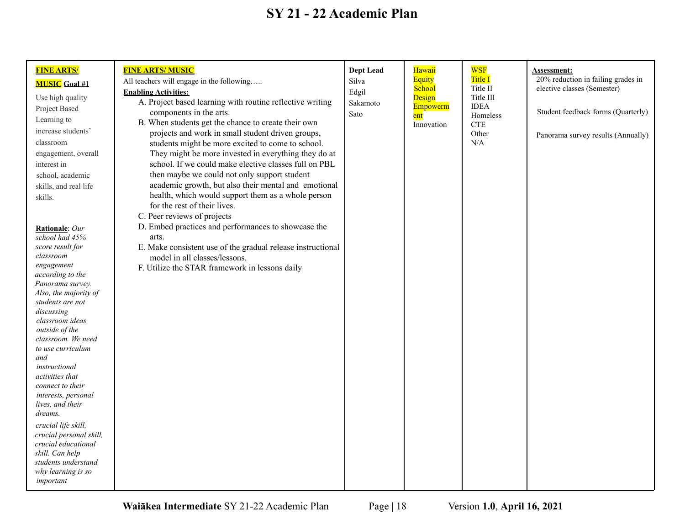| <b>FINE ARTS/</b>                    | <b>FINE ARTS/MUSIC</b>                                      | <b>Dept Lead</b> | Hawaii            | <b>WSF</b>              | <b>Assessment:</b>                 |
|--------------------------------------|-------------------------------------------------------------|------------------|-------------------|-------------------------|------------------------------------|
|                                      | All teachers will engage in the following                   | Silva            | <b>Equity</b>     | Title I                 | 20% reduction in failing grades in |
| <b>MUSIC</b> Goal #1                 | <b>Enabling Activities:</b>                                 | Edgil            | School            | Title II                | elective classes (Semester)        |
| Use high quality                     | A. Project based learning with routine reflective writing   | Sakamoto         | Design            | Title III               |                                    |
| Project Based                        | components in the arts.                                     | Sato             | Empowerm          | <b>IDEA</b><br>Homeless | Student feedback forms (Quarterly) |
| Learning to                          | B. When students get the chance to create their own         |                  | ent<br>Innovation | <b>CTE</b>              |                                    |
| increase students'                   | projects and work in small student driven groups,           |                  |                   | Other                   | Panorama survey results (Annually) |
| classroom                            | students might be more excited to come to school.           |                  |                   | N/A                     |                                    |
| engagement, overall                  | They might be more invested in everything they do at        |                  |                   |                         |                                    |
| interest in                          | school. If we could make elective classes full on PBL       |                  |                   |                         |                                    |
| school, academic                     | then maybe we could not only support student                |                  |                   |                         |                                    |
| skills, and real life                | academic growth, but also their mental and emotional        |                  |                   |                         |                                    |
| skills.                              | health, which would support them as a whole person          |                  |                   |                         |                                    |
|                                      | for the rest of their lives.                                |                  |                   |                         |                                    |
|                                      | C. Peer reviews of projects                                 |                  |                   |                         |                                    |
| Rationale: Our                       | D. Embed practices and performances to showcase the         |                  |                   |                         |                                    |
| school had 45%                       | arts.                                                       |                  |                   |                         |                                    |
| score result for                     | E. Make consistent use of the gradual release instructional |                  |                   |                         |                                    |
| classroom<br>engagement              | model in all classes/lessons.                               |                  |                   |                         |                                    |
| according to the                     | F. Utilize the STAR framework in lessons daily              |                  |                   |                         |                                    |
| Panorama survey.                     |                                                             |                  |                   |                         |                                    |
| Also, the majority of                |                                                             |                  |                   |                         |                                    |
| students are not                     |                                                             |                  |                   |                         |                                    |
| discussing                           |                                                             |                  |                   |                         |                                    |
| classroom ideas                      |                                                             |                  |                   |                         |                                    |
| outside of the<br>classroom. We need |                                                             |                  |                   |                         |                                    |
| to use curriculum                    |                                                             |                  |                   |                         |                                    |
| and                                  |                                                             |                  |                   |                         |                                    |
| instructional                        |                                                             |                  |                   |                         |                                    |
| activities that                      |                                                             |                  |                   |                         |                                    |
| connect to their                     |                                                             |                  |                   |                         |                                    |
| interests, personal                  |                                                             |                  |                   |                         |                                    |
| lives, and their<br>dreams.          |                                                             |                  |                   |                         |                                    |
| crucial life skill,                  |                                                             |                  |                   |                         |                                    |
| crucial personal skill,              |                                                             |                  |                   |                         |                                    |
| crucial educational                  |                                                             |                  |                   |                         |                                    |
| skill. Can help                      |                                                             |                  |                   |                         |                                    |
| students understand                  |                                                             |                  |                   |                         |                                    |
| why learning is so                   |                                                             |                  |                   |                         |                                    |
| important                            |                                                             |                  |                   |                         |                                    |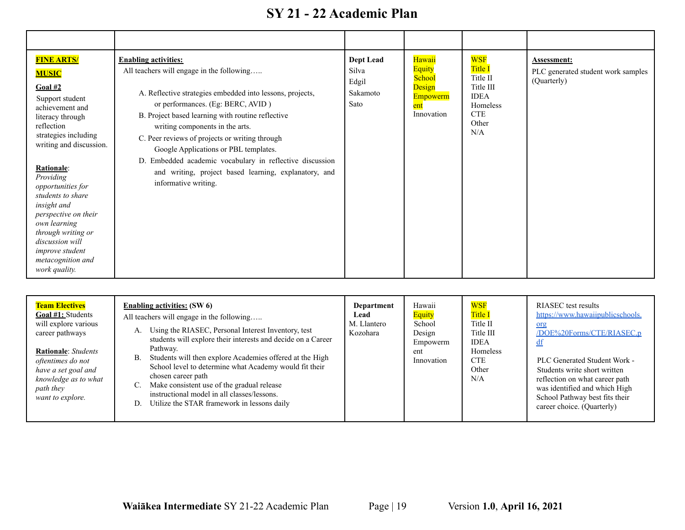| <b>FINE ARTS/</b><br><b>MUSIC</b><br>Goal #2<br>Support student<br>achievement and<br>literacy through<br>reflection<br>strategies including<br>writing and discussion.<br>Rationale:<br>Providing<br>opportunities for<br>students to share<br>insight and<br>perspective on their<br>own learning<br>through writing or<br>discussion will<br><i>improve student</i><br>metacognition and<br>work quality. | <b>Enabling activities:</b><br>All teachers will engage in the following<br>A. Reflective strategies embedded into lessons, projects,<br>or performances. (Eg: BERC, AVID)<br>B. Project based learning with routine reflective<br>writing components in the arts.<br>C. Peer reviews of projects or writing through<br>Google Applications or PBL templates.<br>D. Embedded academic vocabulary in reflective discussion<br>and writing, project based learning, explanatory, and<br>informative writing. | Dept Lead<br>Silva<br>Edgil<br>Sakamoto<br>Sato | Hawaii<br><b>Equity</b><br><b>School</b><br>Design<br><b>Empowerm</b><br>ent<br>Innovation | <b>WSF</b><br>Title I<br>Title II<br>Title III<br><b>IDEA</b><br><b>Homeless</b><br><b>CTE</b><br>Other<br>N/A | Assessment:<br>PLC generated student work samples<br>(Quarterly) |
|--------------------------------------------------------------------------------------------------------------------------------------------------------------------------------------------------------------------------------------------------------------------------------------------------------------------------------------------------------------------------------------------------------------|------------------------------------------------------------------------------------------------------------------------------------------------------------------------------------------------------------------------------------------------------------------------------------------------------------------------------------------------------------------------------------------------------------------------------------------------------------------------------------------------------------|-------------------------------------------------|--------------------------------------------------------------------------------------------|----------------------------------------------------------------------------------------------------------------|------------------------------------------------------------------|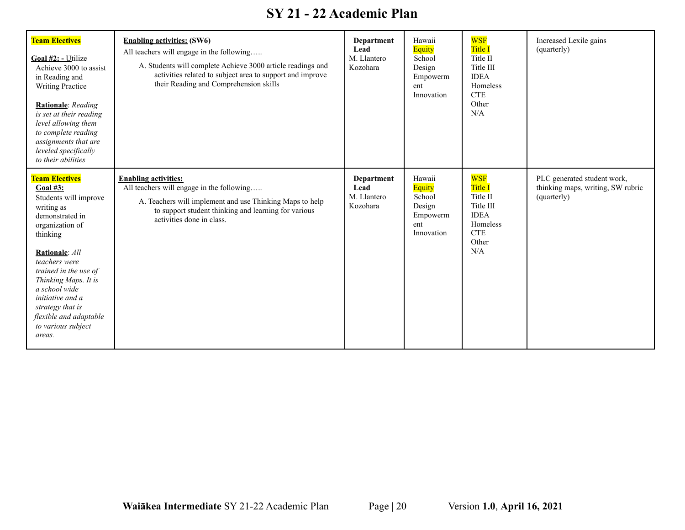| <b>Team Electives</b><br>Goal $#2$ : - Utilize<br>Achieve 3000 to assist<br>in Reading and<br><b>Writing Practice</b><br>Rationale: Reading<br>is set at their reading<br>level allowing them<br>to complete reading<br>assignments that are<br>leveled specifically<br>to their abilities                                          | <b>Enabling activities: (SW6)</b><br>All teachers will engage in the following<br>A. Students will complete Achieve 3000 article readings and<br>activities related to subject area to support and improve<br>their Reading and Comprehension skills | Department<br>Lead<br>M. Llantero<br>Kozohara | Hawaii<br>Equity<br>School<br>Design<br>Empowerm<br>ent<br>Innovation        | <b>WSF</b><br>Title I<br>Title II<br>Title III<br><b>IDEA</b><br>Homeless<br><b>CTE</b><br>Other<br>N/A | Increased Lexile gains<br>(quarterly)                                           |
|-------------------------------------------------------------------------------------------------------------------------------------------------------------------------------------------------------------------------------------------------------------------------------------------------------------------------------------|------------------------------------------------------------------------------------------------------------------------------------------------------------------------------------------------------------------------------------------------------|-----------------------------------------------|------------------------------------------------------------------------------|---------------------------------------------------------------------------------------------------------|---------------------------------------------------------------------------------|
| <b>Team Electives</b><br>Goal $#3:$<br>Students will improve<br>writing as<br>demonstrated in<br>organization of<br>thinking<br>Rationale: All<br>teachers were<br>trained in the use of<br>Thinking Maps. It is<br>a school wide<br>initiative and a<br>strategy that is<br>flexible and adaptable<br>to various subject<br>areas. | <b>Enabling activities:</b><br>All teachers will engage in the following<br>A. Teachers will implement and use Thinking Maps to help<br>to support student thinking and learning for various<br>activities done in class.                            | Department<br>Lead<br>M. Llantero<br>Kozohara | Hawaii<br><b>Equity</b><br>School<br>Design<br>Empowerm<br>ent<br>Innovation | <b>WSF</b><br>Title I<br>Title II<br>Title III<br><b>IDEA</b><br>Homeless<br><b>CTE</b><br>Other<br>N/A | PLC generated student work,<br>thinking maps, writing, SW rubric<br>(quarterly) |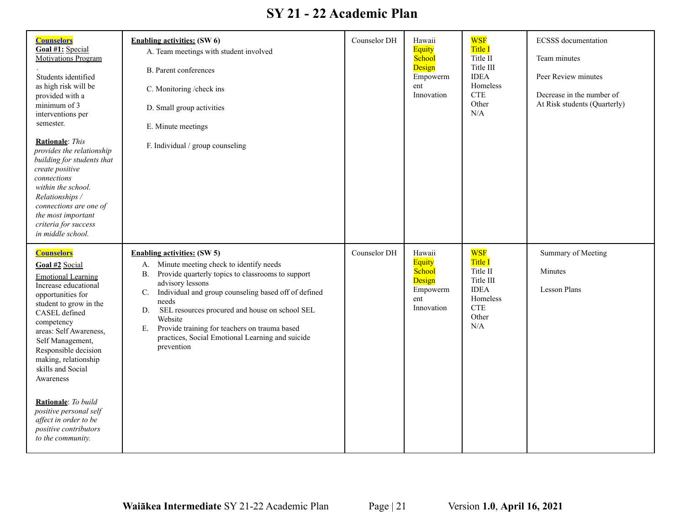| <b>Counselors</b><br>Goal #1: Special<br><b>Motivations Program</b><br>Students identified<br>as high risk will be<br>provided with a<br>minimum of 3<br>interventions per<br>semester.<br><b>Rationale:</b> This<br>provides the relationship<br>building for students that<br>create positive<br>connections<br>within the school.<br>Relationships /<br>connections are one of<br>the most important<br>criteria for success<br>in middle school. | <b>Enabling activities: (SW 6)</b><br>A. Team meetings with student involved<br><b>B.</b> Parent conferences<br>C. Monitoring /check ins<br>D. Small group activities<br>E. Minute meetings<br>F. Individual / group counseling                                                                                                                                                                                                          | Counselor DH | Hawaii<br><b>Equity</b><br>School<br>Design<br>Empowerm<br>ent<br>Innovation | <b>WSF</b><br><b>Title I</b><br>Title II<br>Title III<br><b>IDEA</b><br>Homeless<br>$CTE$<br>Other<br>N/A | <b>ECSSS</b> documentation<br>Team minutes<br>Peer Review minutes<br>Decrease in the number of<br>At Risk students (Quarterly) |
|------------------------------------------------------------------------------------------------------------------------------------------------------------------------------------------------------------------------------------------------------------------------------------------------------------------------------------------------------------------------------------------------------------------------------------------------------|------------------------------------------------------------------------------------------------------------------------------------------------------------------------------------------------------------------------------------------------------------------------------------------------------------------------------------------------------------------------------------------------------------------------------------------|--------------|------------------------------------------------------------------------------|-----------------------------------------------------------------------------------------------------------|--------------------------------------------------------------------------------------------------------------------------------|
| <b>Counselors</b><br>Goal #2 Social<br><b>Emotional Learning</b><br>Increase educational<br>opportunities for<br>student to grow in the<br>CASEL defined<br>competency<br>areas: Self Awareness,<br>Self Management,<br>Responsible decision<br>making, relationship<br>skills and Social<br>Awareness<br><b>Rationale:</b> To build<br>positive personal self<br>affect in order to be<br>positive contributors<br>to the community.                | <b>Enabling activities: (SW 5)</b><br>A. Minute meeting check to identify needs<br>Provide quarterly topics to classrooms to support<br><b>B.</b><br>advisory lessons<br>Individual and group counseling based off of defined<br>C.<br>needs<br>SEL resources procured and house on school SEL<br>D.<br>Website<br>Provide training for teachers on trauma based<br>Е.<br>practices, Social Emotional Learning and suicide<br>prevention | Counselor DH | Hawaii<br>Equity<br>School<br>Design<br>Empowerm<br>ent<br>Innovation        | <b>WSF</b><br>Title I<br>Title II<br>Title III<br><b>IDEA</b><br>Homeless<br><b>CTE</b><br>Other<br>N/A   | Summary of Meeting<br>Minutes<br><b>Lesson Plans</b>                                                                           |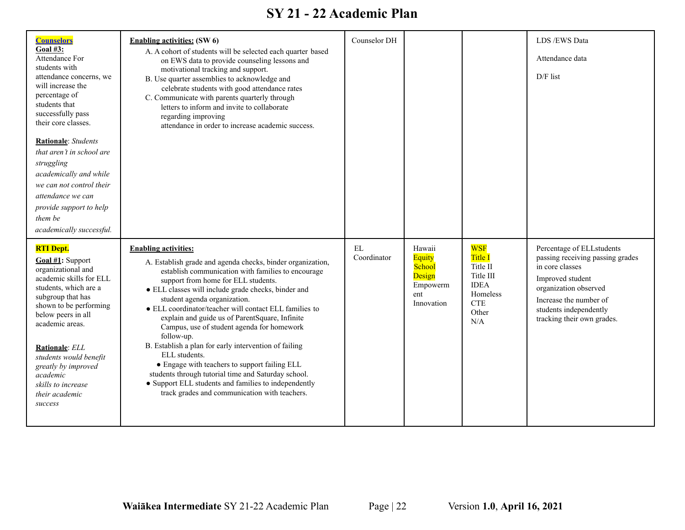| <b>Counselors</b><br>Goal #3:<br><b>Attendance For</b><br>students with<br>attendance concerns, we<br>will increase the<br>percentage of<br>students that<br>successfully pass<br>their core classes.                                                                                                                                    | <b>Enabling activities: (SW 6)</b><br>A. A cohort of students will be selected each quarter based<br>on EWS data to provide counseling lessons and<br>motivational tracking and support.<br>B. Use quarter assemblies to acknowledge and<br>celebrate students with good attendance rates<br>C. Communicate with parents quarterly through<br>letters to inform and invite to collaborate<br>regarding improving<br>attendance in order to increase academic success.                                                                                                                                                                                                                                                                            | Counselor DH                     |                                                                              |                                                                                                                          | LDS /EWS Data<br>Attendance data<br>D/F list                                                                                                                                                                    |
|------------------------------------------------------------------------------------------------------------------------------------------------------------------------------------------------------------------------------------------------------------------------------------------------------------------------------------------|--------------------------------------------------------------------------------------------------------------------------------------------------------------------------------------------------------------------------------------------------------------------------------------------------------------------------------------------------------------------------------------------------------------------------------------------------------------------------------------------------------------------------------------------------------------------------------------------------------------------------------------------------------------------------------------------------------------------------------------------------|----------------------------------|------------------------------------------------------------------------------|--------------------------------------------------------------------------------------------------------------------------|-----------------------------------------------------------------------------------------------------------------------------------------------------------------------------------------------------------------|
| Rationale: Students<br>that aren't in school are<br>struggling<br>academically and while<br>we can not control their<br>attendance we can<br>provide support to help<br>them be<br>academically successful.                                                                                                                              |                                                                                                                                                                                                                                                                                                                                                                                                                                                                                                                                                                                                                                                                                                                                                  |                                  |                                                                              |                                                                                                                          |                                                                                                                                                                                                                 |
| <b>RTI Dept.</b><br>Goal #1: Support<br>organizational and<br>academic skills for ELL<br>students, which are a<br>subgroup that has<br>shown to be performing<br>below peers in all<br>academic areas.<br>Rationale: ELL<br>students would benefit<br>greatly by improved<br>academic<br>skills to increase<br>their academic<br>success | <b>Enabling activities:</b><br>A. Establish grade and agenda checks, binder organization,<br>establish communication with families to encourage<br>support from home for ELL students.<br>• ELL classes will include grade checks, binder and<br>student agenda organization.<br>• ELL coordinator/teacher will contact ELL families to<br>explain and guide us of ParentSquare, Infinite<br>Campus, use of student agenda for homework<br>follow-up.<br>B. Establish a plan for early intervention of failing<br>ELL students.<br>• Engage with teachers to support failing ELL<br>students through tutorial time and Saturday school.<br>• Support ELL students and families to independently<br>track grades and communication with teachers. | $\mathop{\rm EL}$<br>Coordinator | Hawaii<br><b>Equity</b><br>School<br>Design<br>Empowerm<br>ent<br>Innovation | <b>WSF</b><br>Title I<br>Title II<br>Title III<br><b>IDEA</b><br>Homeless<br>$\ensuremath{\mathsf{CTE}}$<br>Other<br>N/A | Percentage of ELLstudents<br>passing receiving passing grades<br>in core classes<br>Improved student<br>organization observed<br>Increase the number of<br>students independently<br>tracking their own grades. |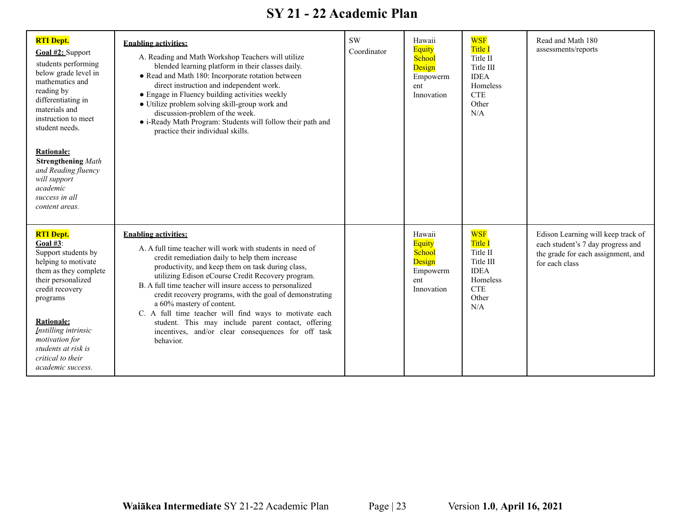| <b>RTI Dept.</b><br>Goal #2: Support<br>students performing<br>below grade level in<br>mathematics and<br>reading by<br>differentiating in<br>materials and<br>instruction to meet<br>student needs.<br><b>Rationale:</b><br><b>Strengthening Math</b><br>and Reading fluency<br>will support<br>academic<br>success in all<br>content areas. | <b>Enabling activities:</b><br>A. Reading and Math Workshop Teachers will utilize<br>blended learning platform in their classes daily.<br>• Read and Math 180: Incorporate rotation between<br>direct instruction and independent work.<br>• Engage in Fluency building activities weekly<br>• Utilize problem solving skill-group work and<br>discussion-problem of the week.<br>· i-Ready Math Program: Students will follow their path and<br>practice their individual skills.                                                                                                            | <b>SW</b><br>Coordinator | Hawaii<br><b>Equity</b><br>School<br>Design<br>Empowerm<br>ent<br>Innovation | <b>WSF</b><br><b>Title I</b><br>Title II<br>Title III<br><b>IDEA</b><br>Homeless<br><b>CTE</b><br>Other<br>N/A | Read and Math 180<br>assessments/reports                                                                                        |
|-----------------------------------------------------------------------------------------------------------------------------------------------------------------------------------------------------------------------------------------------------------------------------------------------------------------------------------------------|-----------------------------------------------------------------------------------------------------------------------------------------------------------------------------------------------------------------------------------------------------------------------------------------------------------------------------------------------------------------------------------------------------------------------------------------------------------------------------------------------------------------------------------------------------------------------------------------------|--------------------------|------------------------------------------------------------------------------|----------------------------------------------------------------------------------------------------------------|---------------------------------------------------------------------------------------------------------------------------------|
| <b>RTI Dept.</b><br>Goal $#3$ :<br>Support students by<br>helping to motivate<br>them as they complete<br>their personalized<br>credit recovery<br>programs<br><b>Rationale:</b><br>Instilling intrinsic<br>motivation for<br>students at risk is<br>critical to their<br>academic success.                                                   | <b>Enabling activities:</b><br>A. A full time teacher will work with students in need of<br>credit remediation daily to help them increase<br>productivity, and keep them on task during class,<br>utilizing Edison eCourse Credit Recovery program.<br>B. A full time teacher will insure access to personalized<br>credit recovery programs, with the goal of demonstrating<br>a 60% mastery of content.<br>C. A full time teacher will find ways to motivate each<br>student. This may include parent contact, offering<br>incentives, and/or clear consequences for off task<br>behavior. |                          | Hawaii<br><b>Equity</b><br>School<br>Design<br>Empowerm<br>ent<br>Innovation | <b>WSF</b><br>Title I<br>Title II<br>Title III<br><b>IDEA</b><br>Homeless<br><b>CTE</b><br>Other<br>N/A        | Edison Learning will keep track of<br>each student's 7 day progress and<br>the grade for each assignment, and<br>for each class |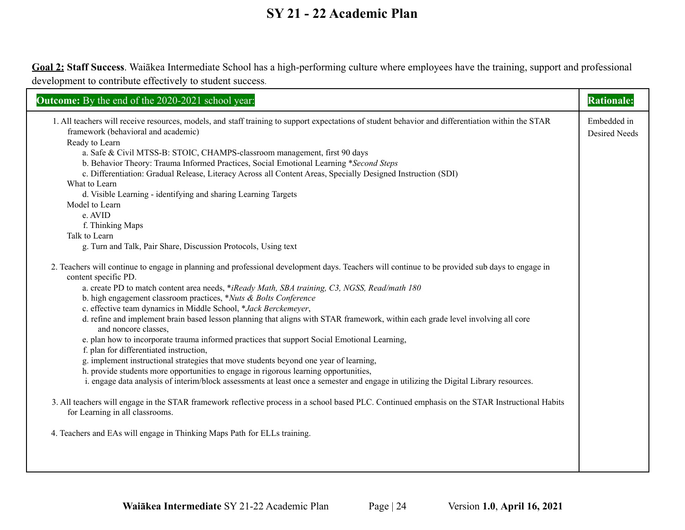**Goal 2: Staff Success**. Waiākea Intermediate School has a high-performing culture where employees have the training, support and professional development to contribute effectively to student success.

| Outcome: By the end of the 2020-2021 school year:                                                                                                                                                                                                                                                                     | <b>Rationale:</b>                   |
|-----------------------------------------------------------------------------------------------------------------------------------------------------------------------------------------------------------------------------------------------------------------------------------------------------------------------|-------------------------------------|
| 1. All teachers will receive resources, models, and staff training to support expectations of student behavior and differentiation within the STAR<br>framework (behavioral and academic)<br>Ready to Learn                                                                                                           | Embedded in<br><b>Desired Needs</b> |
| a. Safe & Civil MTSS-B: STOIC, CHAMPS-classroom management, first 90 days<br>b. Behavior Theory: Trauma Informed Practices, Social Emotional Learning *Second Steps<br>c. Differentiation: Gradual Release, Literacy Across all Content Areas, Specially Designed Instruction (SDI)                                   |                                     |
| What to Learn<br>d. Visible Learning - identifying and sharing Learning Targets                                                                                                                                                                                                                                       |                                     |
| Model to Learn<br>e. AVID                                                                                                                                                                                                                                                                                             |                                     |
| f. Thinking Maps<br>Talk to Learn<br>g. Turn and Talk, Pair Share, Discussion Protocols, Using text                                                                                                                                                                                                                   |                                     |
| 2. Teachers will continue to engage in planning and professional development days. Teachers will continue to be provided sub days to engage in<br>content specific PD.                                                                                                                                                |                                     |
| a. create PD to match content area needs, *iReady Math, SBA training, C3, NGSS, Read/math 180<br>b. high engagement classroom practices, *Nuts & Bolts Conference                                                                                                                                                     |                                     |
| c. effective team dynamics in Middle School, *Jack Berckemeyer,<br>d. refine and implement brain based lesson planning that aligns with STAR framework, within each grade level involving all core<br>and noncore classes,                                                                                            |                                     |
| e. plan how to incorporate trauma informed practices that support Social Emotional Learning,<br>f. plan for differentiated instruction,                                                                                                                                                                               |                                     |
| g. implement instructional strategies that move students beyond one year of learning,<br>h. provide students more opportunities to engage in rigorous learning opportunities,<br>i. engage data analysis of interim/block assessments at least once a semester and engage in utilizing the Digital Library resources. |                                     |
| 3. All teachers will engage in the STAR framework reflective process in a school based PLC. Continued emphasis on the STAR Instructional Habits<br>for Learning in all classrooms.                                                                                                                                    |                                     |
| 4. Teachers and EAs will engage in Thinking Maps Path for ELLs training.                                                                                                                                                                                                                                              |                                     |
|                                                                                                                                                                                                                                                                                                                       |                                     |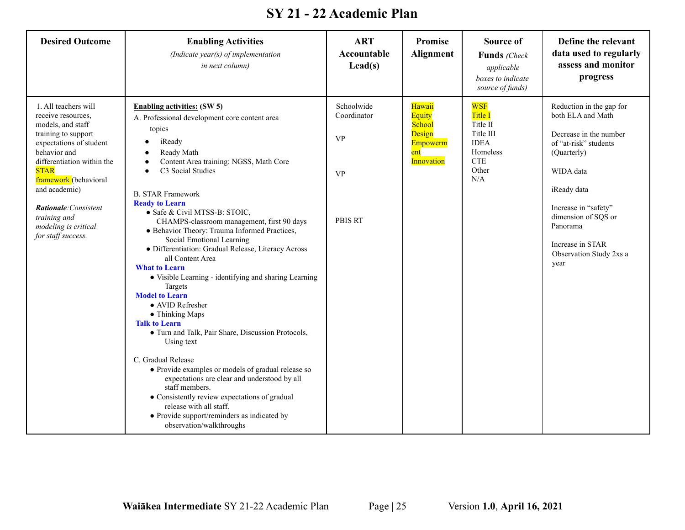| <b>Desired Outcome</b>                                                                                                                                                                                                                                                                                                 | <b>Enabling Activities</b><br>(Indicate year(s) of implementation<br>in next column)                                                                                                                                                                                                                                                                                                                                                                                                                                                                                                                                                                                                                                                                                                                                                                                                                                                                                                                                                           | <b>ART</b><br>Accountable<br>$\text{Lead}(s)$                         | Promise<br><b>Alignment</b>                                                  | <b>Source of</b><br>Funds (Check<br>applicable<br>boxes to indicate<br>source of funds)                        | Define the relevant<br>data used to regularly<br>assess and monitor<br>progress                                                                                                                                                                               |
|------------------------------------------------------------------------------------------------------------------------------------------------------------------------------------------------------------------------------------------------------------------------------------------------------------------------|------------------------------------------------------------------------------------------------------------------------------------------------------------------------------------------------------------------------------------------------------------------------------------------------------------------------------------------------------------------------------------------------------------------------------------------------------------------------------------------------------------------------------------------------------------------------------------------------------------------------------------------------------------------------------------------------------------------------------------------------------------------------------------------------------------------------------------------------------------------------------------------------------------------------------------------------------------------------------------------------------------------------------------------------|-----------------------------------------------------------------------|------------------------------------------------------------------------------|----------------------------------------------------------------------------------------------------------------|---------------------------------------------------------------------------------------------------------------------------------------------------------------------------------------------------------------------------------------------------------------|
| 1. All teachers will<br>receive resources,<br>models, and staff<br>training to support<br>expectations of student<br>behavior and<br>differentiation within the<br><b>STAR</b><br>framework (behavioral<br>and academic)<br><b>Rationale:</b> Consistent<br>training and<br>modeling is critical<br>for staff success. | <b>Enabling activities: (SW 5)</b><br>A. Professional development core content area<br>topics<br>iReady<br>Ready Math<br>Content Area training: NGSS, Math Core<br>C3 Social Studies<br><b>B. STAR Framework</b><br><b>Ready to Learn</b><br>• Safe & Civil MTSS-B: STOIC,<br>CHAMPS-classroom management, first 90 days<br>· Behavior Theory: Trauma Informed Practices,<br>Social Emotional Learning<br>· Differentiation: Gradual Release, Literacy Across<br>all Content Area<br><b>What to Learn</b><br>• Visible Learning - identifying and sharing Learning<br>Targets<br><b>Model to Learn</b><br>• AVID Refresher<br>• Thinking Maps<br><b>Talk to Learn</b><br>• Turn and Talk, Pair Share, Discussion Protocols,<br>Using text<br>C. Gradual Release<br>• Provide examples or models of gradual release so<br>expectations are clear and understood by all<br>staff members.<br>• Consistently review expectations of gradual<br>release with all staff.<br>• Provide support/reminders as indicated by<br>observation/walkthroughs | Schoolwide<br>Coordinator<br><b>VP</b><br><b>VP</b><br><b>PBIS RT</b> | Hawaii<br><b>Equity</b><br>School<br>Design<br>Empowerm<br>ent<br>Innovation | <b>WSF</b><br><b>Title I</b><br>Title II<br>Title III<br><b>IDEA</b><br>Homeless<br><b>CTE</b><br>Other<br>N/A | Reduction in the gap for<br>both ELA and Math<br>Decrease in the number<br>of "at-risk" students<br>(Quarterly)<br>WIDA data<br>iReady data<br>Increase in "safety"<br>dimension of SQS or<br>Panorama<br>Increase in STAR<br>Observation Study 2xs a<br>year |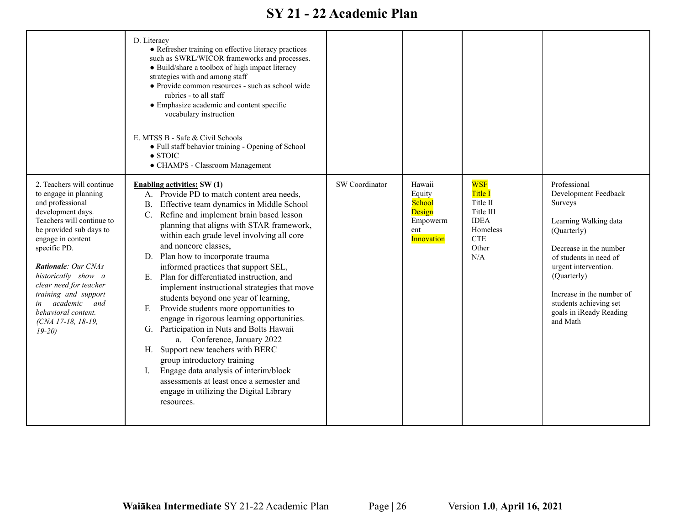|                                                                                                                                                                                                                                                                                                                                                                        | D. Literacy<br>• Refresher training on effective literacy practices<br>such as SWRL/WICOR frameworks and processes.<br>• Build/share a toolbox of high impact literacy<br>strategies with and among staff<br>· Provide common resources - such as school wide<br>rubrics - to all staff<br>• Emphasize academic and content specific<br>vocabulary instruction<br>E. MTSS B - Safe & Civil Schools<br>• Full staff behavior training - Opening of School<br>$\bullet$ STOIC<br>• CHAMPS - Classroom Management                                                                                                                                                                                                                                                                                                                                                                                                                |                |                                                                              |                                                                                                               |                                                                                                                                                                                                                                                                                  |
|------------------------------------------------------------------------------------------------------------------------------------------------------------------------------------------------------------------------------------------------------------------------------------------------------------------------------------------------------------------------|-------------------------------------------------------------------------------------------------------------------------------------------------------------------------------------------------------------------------------------------------------------------------------------------------------------------------------------------------------------------------------------------------------------------------------------------------------------------------------------------------------------------------------------------------------------------------------------------------------------------------------------------------------------------------------------------------------------------------------------------------------------------------------------------------------------------------------------------------------------------------------------------------------------------------------|----------------|------------------------------------------------------------------------------|---------------------------------------------------------------------------------------------------------------|----------------------------------------------------------------------------------------------------------------------------------------------------------------------------------------------------------------------------------------------------------------------------------|
| 2. Teachers will continue<br>to engage in planning<br>and professional<br>development days.<br>Teachers will continue to<br>be provided sub days to<br>engage in content<br>specific PD.<br>Rationale: Our CNAs<br>historically show a<br>clear need for teacher<br>training and support<br>academic and<br>in<br>behavioral content.<br>(CNA 17-18, 18-19,<br>$19-20$ | <b>Enabling activities: SW(1)</b><br>A. Provide PD to match content area needs,<br>Effective team dynamics in Middle School<br><b>B.</b><br>Refine and implement brain based lesson<br>planning that aligns with STAR framework,<br>within each grade level involving all core<br>and noncore classes,<br>D. Plan how to incorporate trauma<br>informed practices that support SEL,<br>E. Plan for differentiated instruction, and<br>implement instructional strategies that move<br>students beyond one year of learning,<br>Provide students more opportunities to<br>F.<br>engage in rigorous learning opportunities.<br>G. Participation in Nuts and Bolts Hawaii<br>a. Conference, January 2022<br>H. Support new teachers with BERC<br>group introductory training<br>Engage data analysis of interim/block<br>I.<br>assessments at least once a semester and<br>engage in utilizing the Digital Library<br>resources. | SW Coordinator | Hawaii<br>Equity<br>School<br>Design<br>Empowerm<br>ent<br><b>Innovation</b> | <b>WSF</b><br>Title I<br>Title II<br>Title III<br><b>IDEA</b><br>Homeless<br><b>CTE</b><br>Other<br>$\rm N/A$ | Professional<br>Development Feedback<br>Surveys<br>Learning Walking data<br>(Quarterly)<br>Decrease in the number<br>of students in need of<br>urgent intervention.<br>(Quarterly)<br>Increase in the number of<br>students achieving set<br>goals in iReady Reading<br>and Math |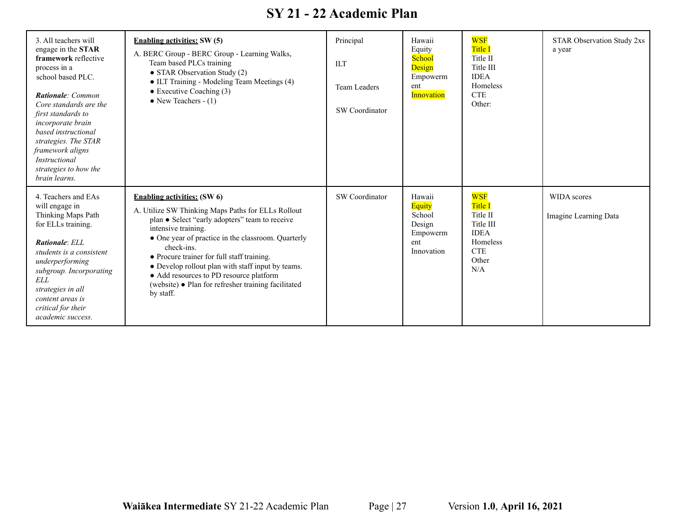| 3. All teachers will<br>engage in the STAR<br>framework reflective<br>process in a<br>school based PLC.<br><b>Rationale:</b> Common<br>Core standards are the<br>first standards to<br>incorporate brain<br>based instructional<br>strategies. The STAR<br>framework aligns<br><i>Instructional</i><br>strategies to how the<br>brain learns. | <b>Enabling activities:</b> SW (5)<br>A. BERC Group - BERC Group - Learning Walks,<br>Team based PLCs training<br>• STAR Observation Study (2)<br>• ILT Training - Modeling Team Meetings (4)<br>$\bullet$ Executive Coaching (3)<br>• New Teachers $- (1)$                                                                                                                                                                                             | Principal<br><b>ILT</b><br>Team Leaders<br><b>SW</b> Coordinator | Hawaii<br>Equity<br><b>School</b><br>Design<br>Empowerm<br>ent<br>Innovation | <b>WSF</b><br><b>Title I</b><br>Title II<br>Title III<br><b>IDEA</b><br>Homeless<br><b>CTE</b><br>Other:       | <b>STAR Observation Study 2xs</b><br>a year |
|-----------------------------------------------------------------------------------------------------------------------------------------------------------------------------------------------------------------------------------------------------------------------------------------------------------------------------------------------|---------------------------------------------------------------------------------------------------------------------------------------------------------------------------------------------------------------------------------------------------------------------------------------------------------------------------------------------------------------------------------------------------------------------------------------------------------|------------------------------------------------------------------|------------------------------------------------------------------------------|----------------------------------------------------------------------------------------------------------------|---------------------------------------------|
| 4. Teachers and EAs<br>will engage in<br>Thinking Maps Path<br>for ELLs training.<br><b>Rationale:</b> ELL<br>students is a consistent<br>underperforming<br>subgroup. Incorporating<br>ELL<br>strategies in all<br>content areas is<br>critical for their<br>academic success.                                                               | <b>Enabling activities: (SW 6)</b><br>A. Utilize SW Thinking Maps Paths for ELLs Rollout<br>plan • Select "early adopters" team to receive<br>intensive training.<br>• One year of practice in the classroom. Quarterly<br>check-ins.<br>• Procure trainer for full staff training.<br>• Develop rollout plan with staff input by teams.<br>• Add resources to PD resource platform<br>(website) • Plan for refresher training facilitated<br>by staff. | SW Coordinator                                                   | Hawaii<br><b>Equity</b><br>School<br>Design<br>Empowerm<br>ent<br>Innovation | <b>WSF</b><br><b>Title I</b><br>Title II<br>Title III<br><b>IDEA</b><br>Homeless<br><b>CTE</b><br>Other<br>N/A | WIDA scores<br>Imagine Learning Data        |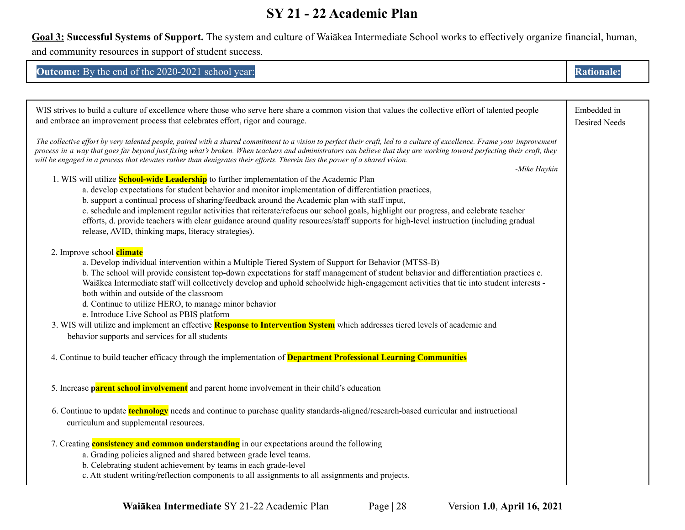**Goal 3: Successful Systems of Support.** The system and culture of Waiākea Intermediate School works to effectively organize financial, human, and community resources in support of student success.

| <b>Outcome:</b> By the end of the 2020-2021 school year: |  |
|----------------------------------------------------------|--|
|                                                          |  |

| WIS strives to build a culture of excellence where those who serve here share a common vision that values the collective effort of talented people<br>and embrace an improvement process that celebrates effort, rigor and courage.                                                                                                                                                                                                                                                                                                                                                                                                                                                                                                                                                                                                                                                                                                                                                                                                                                                                                                                       | Embedded in<br>Desired Needs |
|-----------------------------------------------------------------------------------------------------------------------------------------------------------------------------------------------------------------------------------------------------------------------------------------------------------------------------------------------------------------------------------------------------------------------------------------------------------------------------------------------------------------------------------------------------------------------------------------------------------------------------------------------------------------------------------------------------------------------------------------------------------------------------------------------------------------------------------------------------------------------------------------------------------------------------------------------------------------------------------------------------------------------------------------------------------------------------------------------------------------------------------------------------------|------------------------------|
| The collective effort by very talented people, paired with a shared commitment to a vision to perfect their craft, led to a culture of excellence. Frame your improvement<br>process in a way that goes far beyond just fixing what's broken. When teachers and administrators can believe that they are working toward perfecting their craft, they<br>will be engaged in a process that elevates rather than denigrates their efforts. Therein lies the power of a shared vision.<br>-Mike Haykin<br>1. WIS will utilize <b>School-wide Leadership</b> to further implementation of the Academic Plan<br>a. develop expectations for student behavior and monitor implementation of differentiation practices,<br>b. support a continual process of sharing/feedback around the Academic plan with staff input,<br>c. schedule and implement regular activities that reiterate/refocus our school goals, highlight our progress, and celebrate teacher<br>efforts, d. provide teachers with clear guidance around quality resources/staff supports for high-level instruction (including gradual<br>release, AVID, thinking maps, literacy strategies). |                              |
| 2. Improve school climate<br>a. Develop individual intervention within a Multiple Tiered System of Support for Behavior (MTSS-B)<br>b. The school will provide consistent top-down expectations for staff management of student behavior and differentiation practices c.<br>Waiākea Intermediate staff will collectively develop and uphold schoolwide high-engagement activities that tie into student interests -<br>both within and outside of the classroom<br>d. Continue to utilize HERO, to manage minor behavior<br>e. Introduce Live School as PBIS platform<br>3. WIS will utilize and implement an effective <b>Response to Intervention System</b> which addresses tiered levels of academic and<br>behavior supports and services for all students                                                                                                                                                                                                                                                                                                                                                                                          |                              |
| 4. Continue to build teacher efficacy through the implementation of <b>Department Professional Learning Communities</b>                                                                                                                                                                                                                                                                                                                                                                                                                                                                                                                                                                                                                                                                                                                                                                                                                                                                                                                                                                                                                                   |                              |
| 5. Increase parent school involvement and parent home involvement in their child's education                                                                                                                                                                                                                                                                                                                                                                                                                                                                                                                                                                                                                                                                                                                                                                                                                                                                                                                                                                                                                                                              |                              |
| 6. Continue to update <b>technology</b> needs and continue to purchase quality standards-aligned/research-based curricular and instructional<br>curriculum and supplemental resources.                                                                                                                                                                                                                                                                                                                                                                                                                                                                                                                                                                                                                                                                                                                                                                                                                                                                                                                                                                    |                              |
| 7. Creating <b>consistency and common understanding</b> in our expectations around the following<br>a. Grading policies aligned and shared between grade level teams.<br>b. Celebrating student achievement by teams in each grade-level<br>c. Att student writing/reflection components to all assignments to all assignments and projects.                                                                                                                                                                                                                                                                                                                                                                                                                                                                                                                                                                                                                                                                                                                                                                                                              |                              |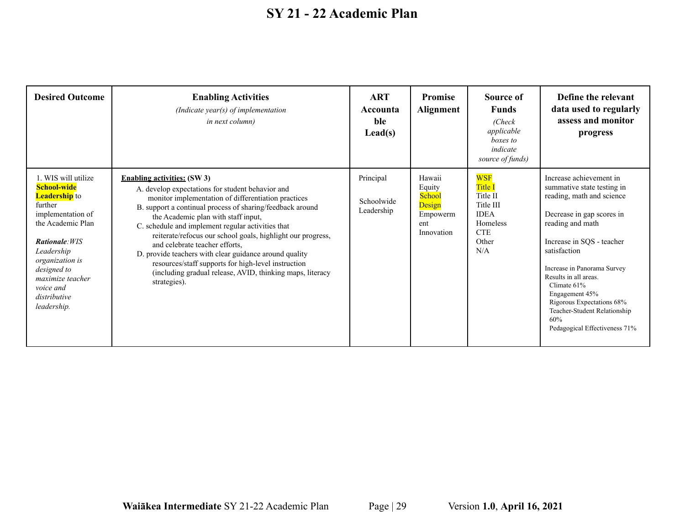| <b>Desired Outcome</b>                                                                                                                                                                                                                                   | <b>Enabling Activities</b><br>(Indicate year(s) of implementation<br><i>in next column)</i>                                                                                                                                                                                                                                                                                                                                                                                                                                                                                                           | <b>ART</b><br>Accounta<br>ble<br>$\text{Lead}(s)$ | <b>Promise</b><br><b>Alignment</b>                                    | Source of<br><b>Funds</b><br>(Check)<br>applicable<br><i>boxes to</i><br>indicate<br>source of funds)          | Define the relevant<br>data used to regularly<br>assess and monitor<br>progress                                                                                                                                                                                                                                                                                                |
|----------------------------------------------------------------------------------------------------------------------------------------------------------------------------------------------------------------------------------------------------------|-------------------------------------------------------------------------------------------------------------------------------------------------------------------------------------------------------------------------------------------------------------------------------------------------------------------------------------------------------------------------------------------------------------------------------------------------------------------------------------------------------------------------------------------------------------------------------------------------------|---------------------------------------------------|-----------------------------------------------------------------------|----------------------------------------------------------------------------------------------------------------|--------------------------------------------------------------------------------------------------------------------------------------------------------------------------------------------------------------------------------------------------------------------------------------------------------------------------------------------------------------------------------|
| 1. WIS will utilize<br>School-wide<br><b>Leadership</b> to<br>further<br>implementation of<br>the Academic Plan<br><b>Rationale: WIS</b><br>Leadership<br>organization is<br>designed to<br>maximize teacher<br>voice and<br>distributive<br>leadership. | <b>Enabling activities:</b> (SW 3)<br>A. develop expectations for student behavior and<br>monitor implementation of differentiation practices<br>B. support a continual process of sharing/feedback around<br>the Academic plan with staff input,<br>C. schedule and implement regular activities that<br>reiterate/refocus our school goals, highlight our progress,<br>and celebrate teacher efforts,<br>D. provide teachers with clear guidance around quality<br>resources/staff supports for high-level instruction<br>(including gradual release, AVID, thinking maps, literacy<br>strategies). | Principal<br>Schoolwide<br>Leadership             | Hawaii<br>Equity<br>School<br>Design<br>Empowerm<br>ent<br>Innovation | <b>WSF</b><br><b>Title I</b><br>Title II<br>Title III<br><b>IDEA</b><br>Homeless<br><b>CTE</b><br>Other<br>N/A | Increase achievement in<br>summative state testing in<br>reading, math and science<br>Decrease in gap scores in<br>reading and math<br>Increase in SQS - teacher<br>satisfaction<br>Increase in Panorama Survey<br>Results in all areas.<br>Climate 61%<br>Engagement 45%<br>Rigorous Expectations 68%<br>Teacher-Student Relationship<br>60%<br>Pedagogical Effectiveness 71% |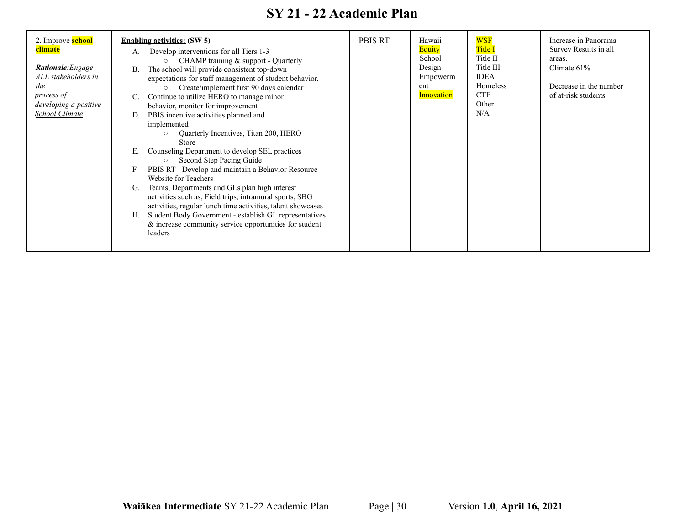| 2. Improve <b>school</b><br>climate<br><b>Rationale:</b> Engage<br>ALL stakeholders in<br>the<br>process of<br>developing a positive<br><b>School Climate</b> | <b>Enabling activities:</b> (SW 5)<br>Develop interventions for all Tiers 1-3<br>A.<br>CHAMP training & support - Quarterly<br>The school will provide consistent top-down<br>В.<br>expectations for staff management of student behavior.<br>Create/implement first 90 days calendar<br>$\circ$<br>Continue to utilize HERO to manage minor<br>C.<br>behavior, monitor for improvement<br>PBIS incentive activities planned and<br>D.<br>implemented<br>Quarterly Incentives, Titan 200, HERO<br>$\circ$<br><b>Store</b><br>Counseling Department to develop SEL practices<br>Е.<br>Second Step Pacing Guide<br>$\circ$<br>PBIS RT - Develop and maintain a Behavior Resource<br>F.<br>Website for Teachers<br>Teams, Departments and GLs plan high interest<br>G.<br>activities such as; Field trips, intramural sports, SBG<br>activities, regular lunch time activities, talent showcases<br>Student Body Government - establish GL representatives<br>Н.<br>$&$ increase community service opportunities for student<br>leaders | <b>PBIS RT</b> | Hawaii<br>Equity<br>School<br>Design<br>Empowerm<br>ent<br><b>Innovation</b> | <b>WSF</b><br><b>Title I</b><br>Title II<br>Title III<br><b>IDEA</b><br>Homeless<br><b>CTE</b><br>Other<br>N/A | Increase in Panorama<br>Survey Results in all<br>areas.<br>Climate $61\%$<br>Decrease in the number<br>of at-risk students |
|---------------------------------------------------------------------------------------------------------------------------------------------------------------|--------------------------------------------------------------------------------------------------------------------------------------------------------------------------------------------------------------------------------------------------------------------------------------------------------------------------------------------------------------------------------------------------------------------------------------------------------------------------------------------------------------------------------------------------------------------------------------------------------------------------------------------------------------------------------------------------------------------------------------------------------------------------------------------------------------------------------------------------------------------------------------------------------------------------------------------------------------------------------------------------------------------------------------|----------------|------------------------------------------------------------------------------|----------------------------------------------------------------------------------------------------------------|----------------------------------------------------------------------------------------------------------------------------|
|---------------------------------------------------------------------------------------------------------------------------------------------------------------|--------------------------------------------------------------------------------------------------------------------------------------------------------------------------------------------------------------------------------------------------------------------------------------------------------------------------------------------------------------------------------------------------------------------------------------------------------------------------------------------------------------------------------------------------------------------------------------------------------------------------------------------------------------------------------------------------------------------------------------------------------------------------------------------------------------------------------------------------------------------------------------------------------------------------------------------------------------------------------------------------------------------------------------|----------------|------------------------------------------------------------------------------|----------------------------------------------------------------------------------------------------------------|----------------------------------------------------------------------------------------------------------------------------|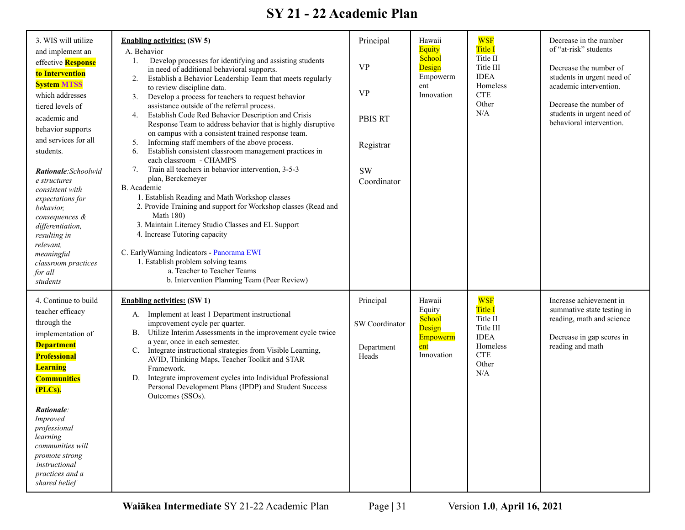| 3. WIS will utilize<br>and implement an<br>effective Response<br>to Intervention<br><b>System MTSS</b><br>which addresses<br>tiered levels of<br>academic and<br>behavior supports<br>and services for all<br>students.<br>Rationale: Schoolwid<br>e structures<br>consistent with<br>expectations for<br>behavior,<br>consequences &<br>differentiation,<br>resulting in<br>relevant,<br>meaningful<br>classroom practices<br>for all<br>students | <b>Enabling activities: (SW 5)</b><br>A. Behavior<br>Develop processes for identifying and assisting students<br>1.<br>in need of additional behavioral supports.<br>Establish a Behavior Leadership Team that meets regularly<br>2.<br>to review discipline data.<br>Develop a process for teachers to request behavior<br>3.<br>assistance outside of the referral process.<br>Establish Code Red Behavior Description and Crisis<br>4.<br>Response Team to address behavior that is highly disruptive<br>on campus with a consistent trained response team.<br>Informing staff members of the above process.<br>5.<br>Establish consistent classroom management practices in<br>6.<br>each classroom - CHAMPS<br>Train all teachers in behavior intervention, 3-5-3<br>7.<br>plan, Berckemeyer<br>B. Academic<br>1. Establish Reading and Math Workshop classes<br>2. Provide Training and support for Workshop classes (Read and<br><b>Math 180)</b><br>3. Maintain Literacy Studio Classes and EL Support<br>4. Increase Tutoring capacity<br>C. Early Warning Indicators - Panorama EWI<br>1. Establish problem solving teams<br>a. Teacher to Teacher Teams<br>b. Intervention Planning Team (Peer Review) | Principal<br><b>VP</b><br><b>VP</b><br><b>PBIS RT</b><br>Registrar<br><b>SW</b><br>Coordinator | Hawaii<br><b>Equity</b><br>School<br>Design<br>Empowerm<br>ent<br>Innovation | <b>WSF</b><br><b>Title I</b><br>Title II<br>Title III<br><b>IDEA</b><br>Homeless<br><b>CTE</b><br>Other<br>N/A | Decrease in the number<br>of "at-risk" students<br>Decrease the number of<br>students in urgent need of<br>academic intervention.<br>Decrease the number of<br>students in urgent need of<br>behavioral intervention. |
|----------------------------------------------------------------------------------------------------------------------------------------------------------------------------------------------------------------------------------------------------------------------------------------------------------------------------------------------------------------------------------------------------------------------------------------------------|-------------------------------------------------------------------------------------------------------------------------------------------------------------------------------------------------------------------------------------------------------------------------------------------------------------------------------------------------------------------------------------------------------------------------------------------------------------------------------------------------------------------------------------------------------------------------------------------------------------------------------------------------------------------------------------------------------------------------------------------------------------------------------------------------------------------------------------------------------------------------------------------------------------------------------------------------------------------------------------------------------------------------------------------------------------------------------------------------------------------------------------------------------------------------------------------------------------------|------------------------------------------------------------------------------------------------|------------------------------------------------------------------------------|----------------------------------------------------------------------------------------------------------------|-----------------------------------------------------------------------------------------------------------------------------------------------------------------------------------------------------------------------|
| 4. Continue to build<br>teacher efficacy<br>through the<br>implementation of<br><b>Department</b><br><b>Professional</b><br><b>Learning</b><br><b>Communities</b><br>(PLCs).<br><i>Rationale:</i><br>Improved<br>professional<br>learning<br>communities will<br>promote strong<br>instructional<br>practices and a<br>shared belief                                                                                                               | <b>Enabling activities: (SW 1)</b><br>A. Implement at least 1 Department instructional<br>improvement cycle per quarter.<br>Utilize Interim Assessments in the improvement cycle twice<br>В.<br>a year, once in each semester.<br>Integrate instructional strategies from Visible Learning,<br>C.<br>AVID, Thinking Maps, Teacher Toolkit and STAR<br>Framework.<br>Integrate improvement cycles into Individual Professional<br>D.<br>Personal Development Plans (IPDP) and Student Success<br>Outcomes (SSOs).                                                                                                                                                                                                                                                                                                                                                                                                                                                                                                                                                                                                                                                                                                  | Principal<br>SW Coordinator<br>Department<br>Heads                                             | Hawaii<br>Equity<br>School<br>Design<br>Empowerm<br>ent<br>Innovation        | <b>WSF</b><br><b>Title I</b><br>Title II<br>Title III<br><b>IDEA</b><br>Homeless<br><b>CTE</b><br>Other<br>N/A | Increase achievement in<br>summative state testing in<br>reading, math and science<br>Decrease in gap scores in<br>reading and math                                                                                   |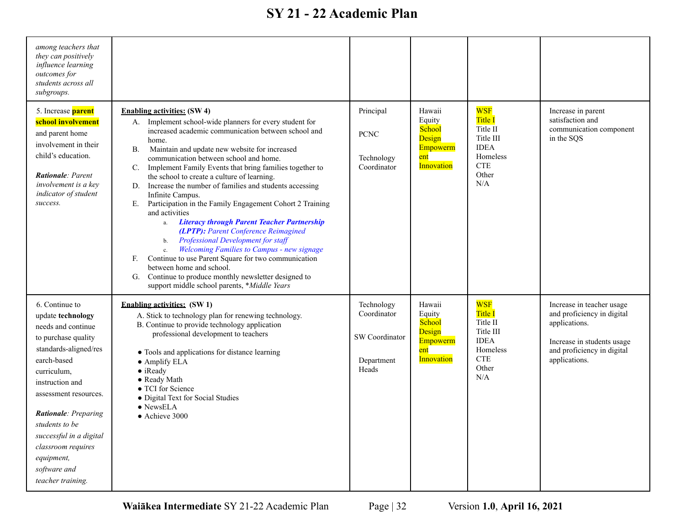| among teachers that<br>they can positively<br>influence learning<br>outcomes for<br>students across all<br>subgroups.                                                                                                                                                                                                             |                                                                                                                                                                                                                                                                                                                                                                                                                                                                                                                                                                                                                                                                                                                                                                                                                                                                                                                                                                                                              |                                                                    |                                                                       |                                                                                                                |                                                                                                                                                       |
|-----------------------------------------------------------------------------------------------------------------------------------------------------------------------------------------------------------------------------------------------------------------------------------------------------------------------------------|--------------------------------------------------------------------------------------------------------------------------------------------------------------------------------------------------------------------------------------------------------------------------------------------------------------------------------------------------------------------------------------------------------------------------------------------------------------------------------------------------------------------------------------------------------------------------------------------------------------------------------------------------------------------------------------------------------------------------------------------------------------------------------------------------------------------------------------------------------------------------------------------------------------------------------------------------------------------------------------------------------------|--------------------------------------------------------------------|-----------------------------------------------------------------------|----------------------------------------------------------------------------------------------------------------|-------------------------------------------------------------------------------------------------------------------------------------------------------|
| 5. Increase <b>parent</b><br>school involvement<br>and parent home<br>involvement in their<br>child's education.<br><b>Rationale:</b> Parent<br>involvement is a key<br>indicator of student<br>success.                                                                                                                          | <b>Enabling activities: (SW 4)</b><br>A. Implement school-wide planners for every student for<br>increased academic communication between school and<br>home.<br>Maintain and update new website for increased<br><b>B.</b><br>communication between school and home.<br>Implement Family Events that bring families together to<br>$\mathbb{C}$ .<br>the school to create a culture of learning.<br>Increase the number of families and students accessing<br>D.<br>Infinite Campus.<br>Participation in the Family Engagement Cohort 2 Training<br>E.<br>and activities<br><b>Literacy through Parent Teacher Partnership</b><br>a.<br>(LPTP): Parent Conference Reimagined<br><b>Professional Development for staff</b><br>b.<br><b>Welcoming Families to Campus - new signage</b><br>$\mathbf{c}$ .<br>Continue to use Parent Square for two communication<br>F.<br>between home and school.<br>Continue to produce monthly newsletter designed to<br>G.<br>support middle school parents, *Middle Years | Principal<br><b>PCNC</b><br>Technology<br>Coordinator              | Hawaii<br>Equity<br>School<br>Design<br>Empowerm<br>ent<br>Innovation | <b>WSF</b><br><b>Title I</b><br>Title II<br>Title III<br><b>IDEA</b><br>Homeless<br><b>CTE</b><br>Other<br>N/A | Increase in parent<br>satisfaction and<br>communication component<br>in the SQS                                                                       |
| 6. Continue to<br>update technology<br>needs and continue<br>to purchase quality<br>standards-aligned/res<br>earch-based<br>curriculum,<br>instruction and<br>assessment resources.<br>Rationale: Preparing<br>students to be<br>successful in a digital<br>classroom requires<br>equipment,<br>software and<br>teacher training. | <b>Enabling activities:</b> (SW 1)<br>A. Stick to technology plan for renewing technology.<br>B. Continue to provide technology application<br>professional development to teachers<br>• Tools and applications for distance learning<br>$\bullet$ Amplify ELA<br>• iReady<br>• Ready Math<br>• TCI for Science<br>• Digital Text for Social Studies<br>• NewsELA<br>• Achieve 3000                                                                                                                                                                                                                                                                                                                                                                                                                                                                                                                                                                                                                          | Technology<br>Coordinator<br>SW Coordinator<br>Department<br>Heads | Hawaii<br>Equity<br>School<br>Design<br>Empowerm<br>ent<br>Innovation | <b>WSF</b><br><b>Title I</b><br>Title II<br>Title III<br><b>IDEA</b><br>Homeless<br><b>CTE</b><br>Other<br>N/A | Increase in teacher usage<br>and proficiency in digital<br>applications.<br>Increase in students usage<br>and proficiency in digital<br>applications. |